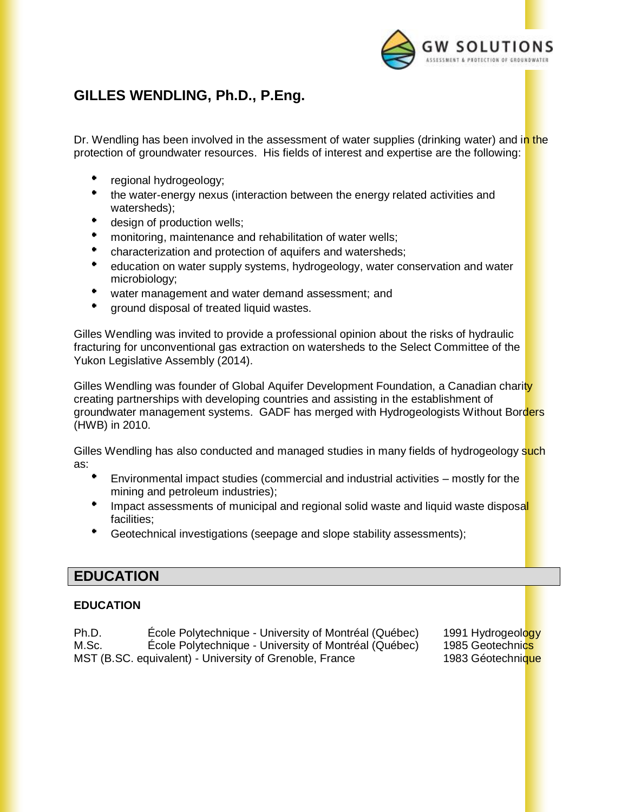

# **GILLES WENDLING, Ph.D., P.Eng.**

Dr. Wendling has been involved in the assessment of water supplies (drinking water) and in the protection of groundwater resources. His fields of interest and expertise are the following:

- regional hydrogeology;
- the water-energy nexus (interaction between the energy related activities and watersheds);
- design of production wells;
- monitoring, maintenance and rehabilitation of water wells;
- characterization and protection of aquifers and watersheds;
- education on water supply systems, hydrogeology, water conservation and water microbiology;
- water management and water demand assessment; and
- ground disposal of treated liquid wastes.

Gilles Wendling was invited to provide a professional opinion about the risks of hydraulic fracturing for unconventional gas extraction on watersheds to the Select Committee of the Yukon Legislative Assembly (2014).

Gilles Wendling was founder of Global Aquifer Development Foundation, a Canadian charity creating partnerships with developing countries and assisting in the establishment of groundwater management systems. GADF has merged with Hydrogeologists Without Borders (HWB) in 2010.

Gilles Wendling has also conducted and managed studies in many fields of hydrogeology such as:

- Environmental impact studies (commercial and industrial activities mostly for the mining and petroleum industries);
- Impact assessments of municipal and regional solid waste and liquid waste disposal facilities;
- $\bullet$  . Geotechnical investigations (seepage and slope stability assessments);

### **EDUCATION**

#### **EDUCATION**

Ph.D. **Ecole Polytechnique - University of Montréal (Québec)** 1991 Hydrogeology M.Sc. École Polytechnique - University of Montréal (Québec) 1985 Geotechnics MST (B.SC. equivalent) - University of Grenoble, France 1983 Géotechnique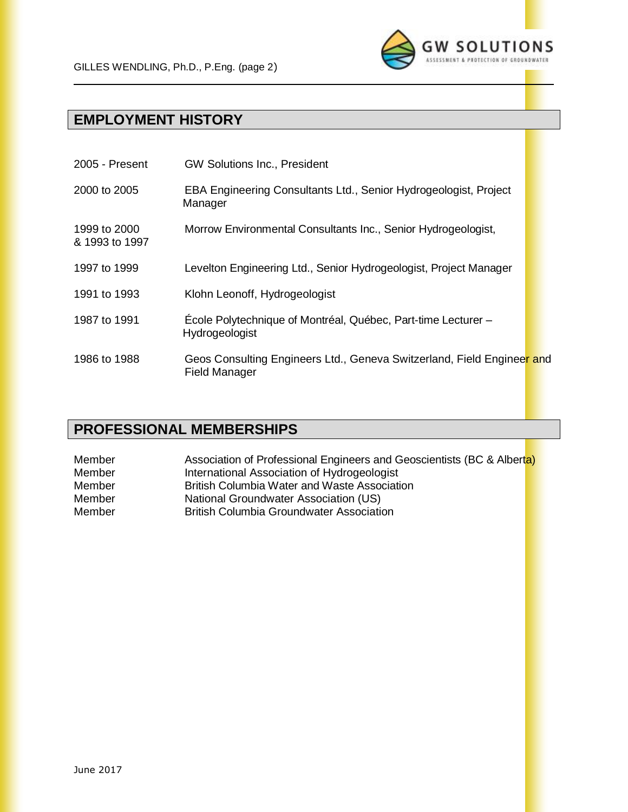

# **EMPLOYMENT HISTORY**

| 2005 - Present                 | <b>GW Solutions Inc., President</b>                                                            |  |
|--------------------------------|------------------------------------------------------------------------------------------------|--|
| 2000 to 2005                   | EBA Engineering Consultants Ltd., Senior Hydrogeologist, Project<br>Manager                    |  |
| 1999 to 2000<br>& 1993 to 1997 | Morrow Environmental Consultants Inc., Senior Hydrogeologist,                                  |  |
| 1997 to 1999                   | Levelton Engineering Ltd., Senior Hydrogeologist, Project Manager                              |  |
| 1991 to 1993                   | Klohn Leonoff, Hydrogeologist                                                                  |  |
| 1987 to 1991                   | École Polytechnique of Montréal, Québec, Part-time Lecturer -<br>Hydrogeologist                |  |
| 1986 to 1988                   | Geos Consulting Engineers Ltd., Geneva Switzerland, Field Engineer and<br><b>Field Manager</b> |  |

### **PROFESSIONAL MEMBERSHIPS**

Member **Association of Professional Engineers and Geoscientists (BC & Alberta)** Member International Association of Hydrogeologist Member British Columbia Water and Waste Association Member National Groundwater Association (US) Member **British Columbia Groundwater Association**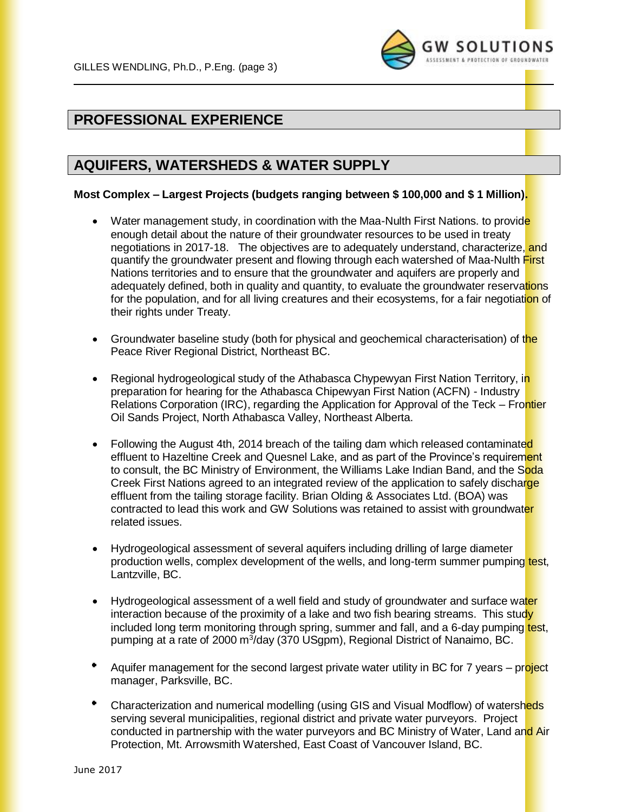

## **PROFESSIONAL EXPERIENCE**

### **AQUIFERS, WATERSHEDS & WATER SUPPLY**

#### **Most Complex – Largest Projects (budgets ranging between \$ 100,000 and \$ 1 Million).**

- Water management study, in coordination with the Maa-Nulth First Nations, to provide enough detail about the nature of their groundwater resources to be used in treaty negotiations in 2017-18. The objectives are to adequately understand, characterize, and quantify the groundwater present and flowing through each watershed of Maa-Nulth First Nations territories and to ensure that the groundwater and aquifers are properly and adequately defined, both in quality and quantity, to evaluate the groundwater reservations for the population, and for all living creatures and their ecosystems, for a fair negotiation of their rights under Treaty.
- Groundwater baseline study (both for physical and geochemical characterisation) of the Peace River Regional District, Northeast BC.
- Regional hydrogeological study of the Athabasca Chypewyan First Nation Territory, in preparation for hearing for the Athabasca Chipewyan First Nation (ACFN) - Industry Relations Corporation (IRC), regarding the Application for Approval of the Teck – Frontier Oil Sands Project, North Athabasca Valley, Northeast Alberta.
- Following the August 4th, 2014 breach of the tailing dam which released contaminated effluent to Hazeltine Creek and Quesnel Lake, and as part of the Province's requirement to consult, the BC Ministry of Environment, the Williams Lake Indian Band, and the Soda Creek First Nations agreed to an integrated review of the application to safely discharge effluent from the tailing storage facility. Brian Olding & Associates Ltd. (BOA) was contracted to lead this work and GW Solutions was retained to assist with groundwater related issues.
- Hydrogeological assessment of several aquifers including drilling of large diameter production wells, complex development of the wells, and long-term summer pumping test, Lantzville, BC.
- Hydrogeological assessment of a well field and study of groundwater and surface water interaction because of the proximity of a lake and two fish bearing streams. This study included long term monitoring through spring, summer and fall, and a 6-day pumping test, pumping at a rate of 2000 m<sup>3</sup>/day (370 USgpm), Regional District of Nanaimo, BC.
- Aquifer management for the second largest private water utility in BC for 7 years project manager, Parksville, BC.
- Characterization and numerical modelling (using GIS and Visual Modflow) of watersheds serving several municipalities, regional district and private water purveyors. Project conducted in partnership with the water purveyors and BC Ministry of Water, Land and Air Protection, Mt. Arrowsmith Watershed, East Coast of Vancouver Island, BC.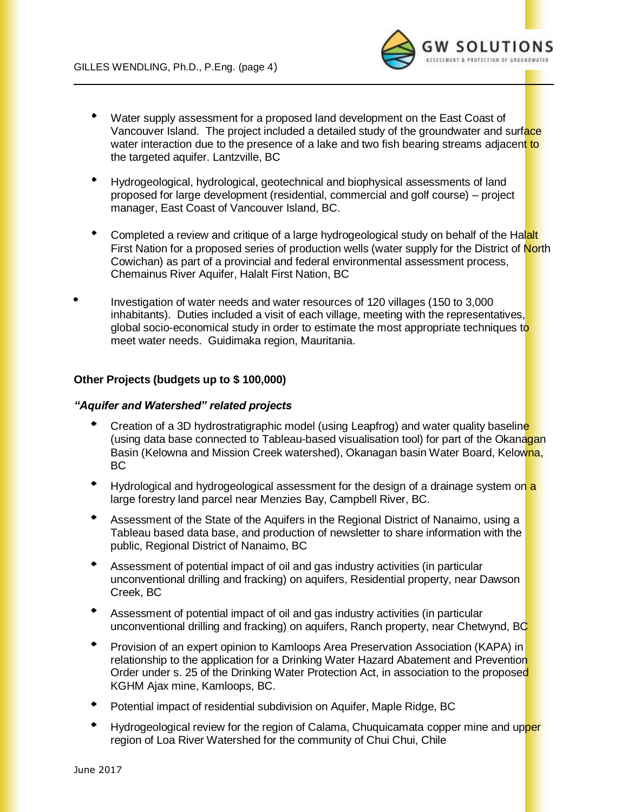

- Water supply assessment for a proposed land development on the East Coast of Vancouver Island. The project included a detailed study of the groundwater and surface water interaction due to the presence of a lake and two fish bearing streams adjacent to the targeted aquifer. Lantzville, BC
- Hydrogeological, hydrological, geotechnical and biophysical assessments of land proposed for large development (residential, commercial and golf course) – project manager, East Coast of Vancouver Island, BC.
- $\bullet$ Completed a review and critique of a large hydrogeological study on behalf of the Halalt First Nation for a proposed series of production wells (water supply for the District of North Cowichan) as part of a provincial and federal environmental assessment process, Chemainus River Aquifer, Halalt First Nation, BC
- $\bullet$ Investigation of water needs and water resources of 120 villages (150 to 3,000 inhabitants). Duties included a visit of each village, meeting with the representatives, global socio-economical study in order to estimate the most appropriate techniques to meet water needs. Guidimaka region, Mauritania.

#### **Other Projects (budgets up to \$ 100,000)**

#### *"Aquifer and Watershed" related projects*

- Creation of a 3D hydrostratigraphic model (using Leapfrog) and water quality baseline (using data base connected to Tableau-based visualisation tool) for part of the Okanagan Basin (Kelowna and Mission Creek watershed), Okanagan basin Water Board, Kelowna, BC
- Hydrological and hydrogeological assessment for the design of a drainage system on a large forestry land parcel near Menzies Bay, Campbell River, BC.
- $\bullet$ Assessment of the State of the Aquifers in the Regional District of Nanaimo, using a Tableau based data base, and production of newsletter to share information with the public, Regional District of Nanaimo, BC
- Assessment of potential impact of oil and gas industry activities (in particular unconventional drilling and fracking) on aquifers, Residential property, near Dawson Creek, BC
- Assessment of potential impact of oil and gas industry activities (in particular unconventional drilling and fracking) on aquifers, Ranch property, near Chetwynd, BC
- $\bullet$  . Provision of an expert opinion to Kamloops Area Preservation Association (KAPA) in relationship to the application for a Drinking Water Hazard Abatement and Prevention Order under s. 25 of the Drinking Water Protection Act, in association to the proposed KGHM Ajax mine, Kamloops, BC.
- Potential impact of residential subdivision on Aquifer, Maple Ridge, BC
- Hydrogeological review for the region of Calama, Chuquicamata copper mine and upper region of Loa River Watershed for the community of Chui Chui, Chile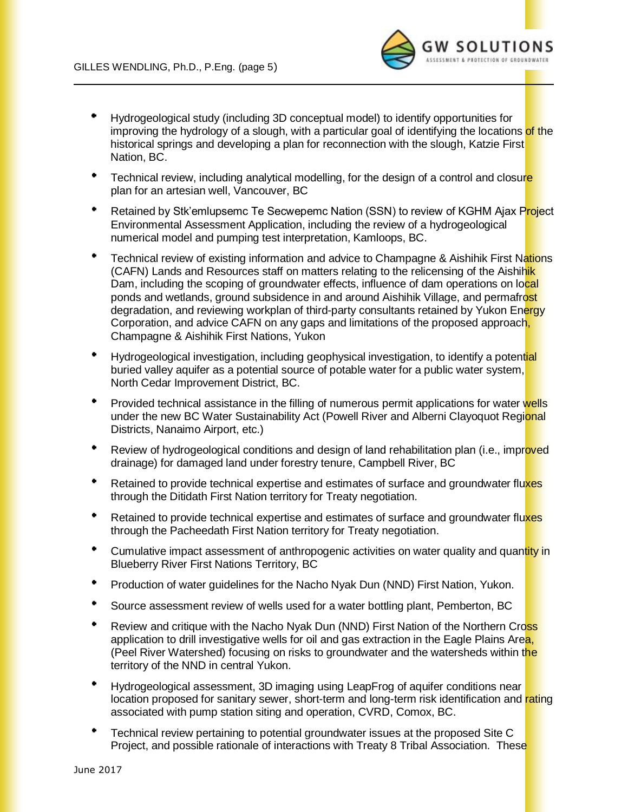

- Hydrogeological study (including 3D conceptual model) to identify opportunities for improving the hydrology of a slough, with a particular goal of identifying the locations of the historical springs and developing a plan for reconnection with the slough, Katzie First Nation, BC.
- Technical review, including analytical modelling, for the design of a control and closure plan for an artesian well, Vancouver, BC
- $\bullet$ Retained by Stk'emlupsemc Te Secwepemc Nation (SSN) to review of KGHM Ajax Project Environmental Assessment Application, including the review of a hydrogeological numerical model and pumping test interpretation, Kamloops, BC.
- Technical review of existing information and advice to Champagne & Aishihik First Nations (CAFN) Lands and Resources staff on matters relating to the relicensing of the Aishihik Dam, including the scoping of groundwater effects, influence of dam operations on local ponds and wetlands, ground subsidence in and around Aishihik Village, and permafrost degradation, and reviewing workplan of third-party consultants retained by Yukon Energy Corporation, and advice CAFN on any gaps and limitations of the proposed approach, Champagne & Aishihik First Nations, Yukon
- Hydrogeological investigation, including geophysical investigation, to identify a potential buried valley aquifer as a potential source of potable water for a public water system, North Cedar Improvement District, BC.
- ٠. Provided technical assistance in the filling of numerous permit applications for water wells under the new BC Water Sustainability Act (Powell River and Alberni Clayoquot Regional Districts, Nanaimo Airport, etc.)
- Review of hydrogeological conditions and design of land rehabilitation plan (i.e., improved drainage) for damaged land under forestry tenure, Campbell River, BC
- Retained to provide technical expertise and estimates of surface and groundwater fluxes through the Ditidath First Nation territory for Treaty negotiation.
- $\blacksquare$ Retained to provide technical expertise and estimates of surface and groundwater fluxes through the Pacheedath First Nation territory for Treaty negotiation.
- Cumulative impact assessment of anthropogenic activities on water quality and quantity in Blueberry River First Nations Territory, BC
- ٠ Production of water guidelines for the Nacho Nyak Dun (NND) First Nation, Yukon.
- ٠ Source assessment review of wells used for a water bottling plant, Pemberton, BC
- Review and critique with the Nacho Nyak Dun (NND) First Nation of the Northern Cross application to drill investigative wells for oil and gas extraction in the Eagle Plains Area, (Peel River Watershed) focusing on risks to groundwater and the watersheds within the territory of the NND in central Yukon.
- Hydrogeological assessment, 3D imaging using LeapFrog of aquifer conditions near location proposed for sanitary sewer, short-term and long-term risk identification and rating associated with pump station siting and operation, CVRD, Comox, BC.
- Technical review pertaining to potential groundwater issues at the proposed Site C Project, and possible rationale of interactions with Treaty 8 Tribal Association. These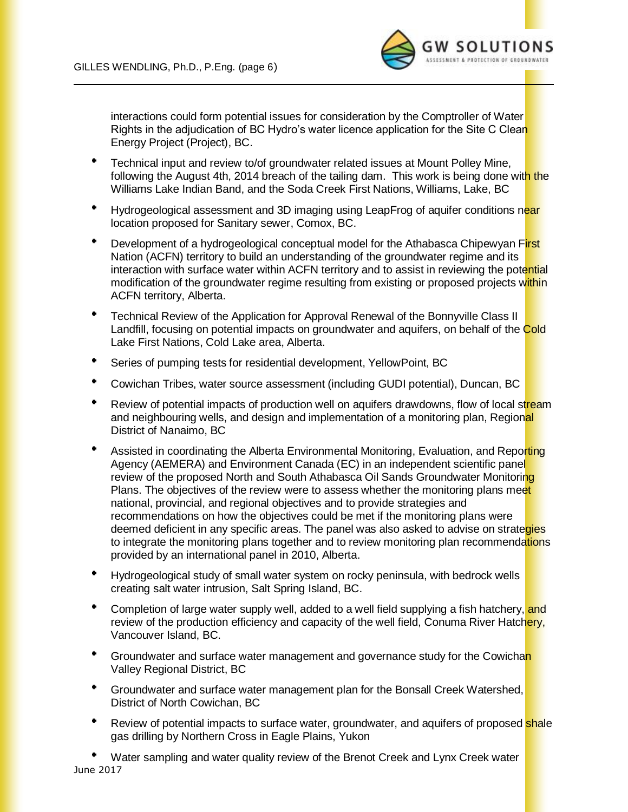

interactions could form potential issues for consideration by the Comptroller of Water Rights in the adjudication of BC Hydro's water licence application for the Site C Clean Energy Project (Project), BC.

- Technical input and review to/of groundwater related issues at Mount Polley Mine, following the August 4th, 2014 breach of the tailing dam. This work is being done with the Williams Lake Indian Band, and the Soda Creek First Nations, Williams, Lake, BC
- Hydrogeological assessment and 3D imaging using LeapFrog of aquifer conditions near location proposed for Sanitary sewer, Comox, BC.
- Development of a hydrogeological conceptual model for the Athabasca Chipewyan First Nation (ACFN) territory to build an understanding of the groundwater regime and its interaction with surface water within ACFN territory and to assist in reviewing the potential modification of the groundwater regime resulting from existing or proposed projects within ACFN territory, Alberta.
- $\bullet$ Technical Review of the Application for Approval Renewal of the Bonnyville Class II Landfill, focusing on potential impacts on groundwater and aquifers, on behalf of the Cold Lake First Nations, Cold Lake area, Alberta.
- ٠ Series of pumping tests for residential development, YellowPoint, BC
- Cowichan Tribes, water source assessment (including GUDI potential), Duncan, BC
- $\bullet$ Review of potential impacts of production well on aquifers drawdowns, flow of local stream and neighbouring wells, and design and implementation of a monitoring plan, Regional District of Nanaimo, BC
- Assisted in coordinating the Alberta Environmental Monitoring, Evaluation, and Reporting Agency (AEMERA) and Environment Canada (EC) in an independent scientific panel review of the proposed North and South Athabasca Oil Sands Groundwater Monitoring Plans. The objectives of the review were to assess whether the monitoring plans meet national, provincial, and regional objectives and to provide strategies and recommendations on how the objectives could be met if the monitoring plans were deemed deficient in any specific areas. The panel was also asked to advise on strategies to integrate the monitoring plans together and to review monitoring plan recommendations provided by an international panel in 2010, Alberta.
- Hydrogeological study of small water system on rocky peninsula, with bedrock wells creating salt water intrusion, Salt Spring Island, BC.
- \* Completion of large water supply well, added to a well field supplying a fish hatchery, and review of the production efficiency and capacity of the well field, Conuma River Hatchery, Vancouver Island, BC.
- <sup>•</sup> Groundwater and surface water management and governance study for the Cowichan Valley Regional District, BC
- Groundwater and surface water management plan for the Bonsall Creek Watershed, District of North Cowichan, BC
- ٠ Review of potential impacts to surface water, groundwater, and aquifers of proposed **shale** gas drilling by Northern Cross in Eagle Plains, Yukon

June 2017 Water sampling and water quality review of the Brenot Creek and Lynx Creek water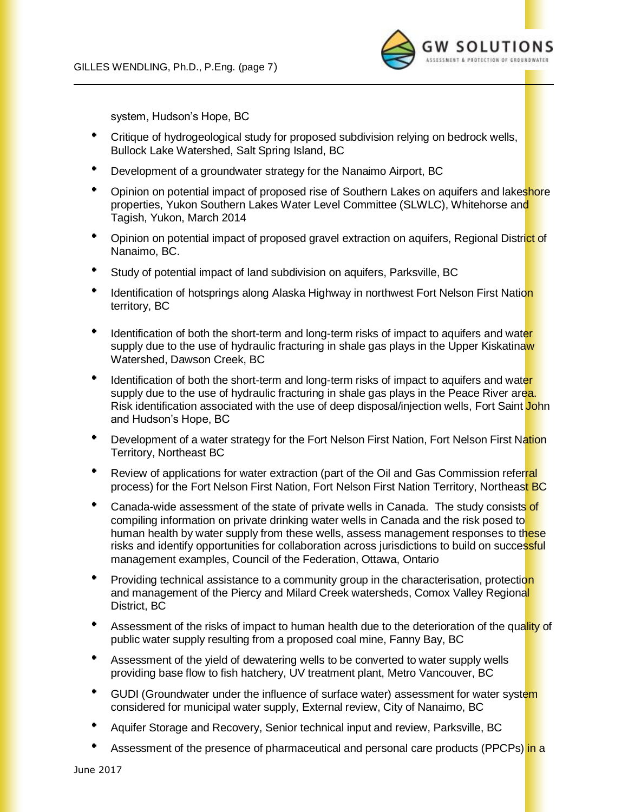

system, Hudson's Hope, BC

- Critique of hydrogeological study for proposed subdivision relying on bedrock wells, Bullock Lake Watershed, Salt Spring Island, BC
- $\bullet$ Development of a groundwater strategy for the Nanaimo Airport, BC
- \* Opinion on potential impact of proposed rise of Southern Lakes on aquifers and lakeshore properties, Yukon Southern Lakes Water Level Committee (SLWLC), Whitehorse and Tagish, Yukon, March 2014
- Opinion on potential impact of proposed gravel extraction on aquifers, Regional District of Nanaimo, BC.
- ٠ Study of potential impact of land subdivision on aquifers, Parksville, BC
- $\bullet$ Identification of hotsprings along Alaska Highway in northwest Fort Nelson First Nation territory, BC
- Identification of both the short-term and long-term risks of impact to aquifers and water supply due to the use of hydraulic fracturing in shale gas plays in the Upper Kiskatinaw Watershed, Dawson Creek, BC
- Identification of both the short-term and long-term risks of impact to aquifers and water supply due to the use of hydraulic fracturing in shale gas plays in the Peace River area. Risk identification associated with the use of deep disposal/injection wells, Fort Saint John and Hudson's Hope, BC
- Development of a water strategy for the Fort Nelson First Nation, Fort Nelson First Nation Territory, Northeast BC
- Review of applications for water extraction (part of the Oil and Gas Commission referral process) for the Fort Nelson First Nation, Fort Nelson First Nation Territory, Northeast BC
- Canada-wide assessment of the state of private wells in Canada. The study consists of compiling information on private drinking water wells in Canada and the risk posed to human health by water supply from these wells, assess management responses to these risks and identify opportunities for collaboration across jurisdictions to build on successful management examples, Council of the Federation, Ottawa, Ontario
- Providing technical assistance to a community group in the characterisation, protection and management of the Piercy and Milard Creek watersheds, Comox Valley Regional District, BC
- Assessment of the risks of impact to human health due to the deterioration of the quality of public water supply resulting from a proposed coal mine, Fanny Bay, BC
- Assessment of the yield of dewatering wells to be converted to water supply wells providing base flow to fish hatchery, UV treatment plant, Metro Vancouver, BC
- <sup>\*</sup> GUDI (Groundwater under the influence of surface water) assessment for water system considered for municipal water supply, External review, City of Nanaimo, BC
- Aquifer Storage and Recovery, Senior technical input and review, Parksville, BC
- Assessment of the presence of pharmaceutical and personal care products (PPCPs) in a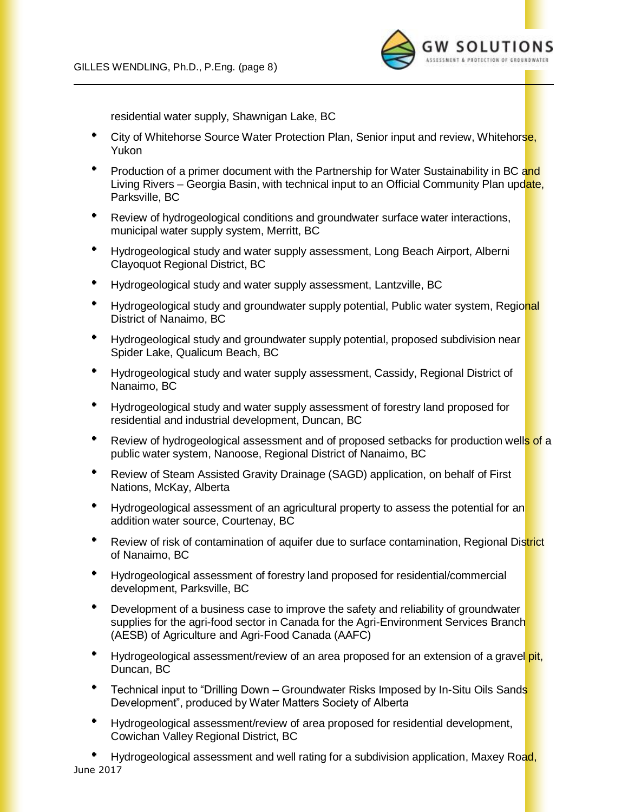

residential water supply, Shawnigan Lake, BC

- City of Whitehorse Source Water Protection Plan, Senior input and review, Whitehorse, Yukon
- Production of a primer document with the Partnership for Water Sustainability in BC and Living Rivers – Georgia Basin, with technical input to an Official Community Plan update, Parksville, BC
- Review of hydrogeological conditions and groundwater surface water interactions, municipal water supply system, Merritt, BC
- Hydrogeological study and water supply assessment, Long Beach Airport, Alberni Clayoquot Regional District, BC
- ٠. Hydrogeological study and water supply assessment, Lantzville, BC
- <sup>\*</sup> Hydrogeological study and groundwater supply potential, Public water system, Regional District of Nanaimo, BC
- Hydrogeological study and groundwater supply potential, proposed subdivision near Spider Lake, Qualicum Beach, BC
- Hydrogeological study and water supply assessment, Cassidy, Regional District of Nanaimo, BC
- Hydrogeological study and water supply assessment of forestry land proposed for residential and industrial development, Duncan, BC
- Review of hydrogeological assessment and of proposed setbacks for production wells of a public water system, Nanoose, Regional District of Nanaimo, BC
- Review of Steam Assisted Gravity Drainage (SAGD) application, on behalf of First Nations, McKay, Alberta
- Hydrogeological assessment of an agricultural property to assess the potential for an addition water source, Courtenay, BC
- ٠ Review of risk of contamination of aquifer due to surface contamination, Regional District of Nanaimo, BC
- Hydrogeological assessment of forestry land proposed for residential/commercial development, Parksville, BC
- $\bullet$  . Development of a business case to improve the safety and reliability of groundwater supplies for the agri-food sector in Canada for the Agri-Environment Services Branch (AESB) of Agriculture and Agri-Food Canada (AAFC)
- Hydrogeological assessment/review of an area proposed for an extension of a gravel pit, Duncan, BC
- Technical input to "Drilling Down Groundwater Risks Imposed by In-Situ Oils Sands Development", produced by Water Matters Society of Alberta
- Hydrogeological assessment/review of area proposed for residential development, Cowichan Valley Regional District, BC

June 2017 Hydrogeological assessment and well rating for a subdivision application, Maxey Road,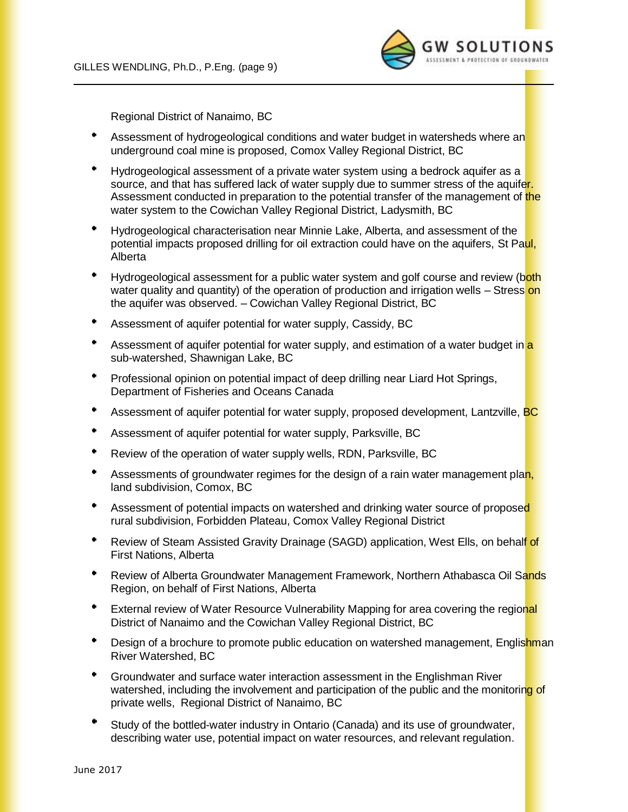

Regional District of Nanaimo, BC

- Assessment of hydrogeological conditions and water budget in watersheds where an underground coal mine is proposed, Comox Valley Regional District, BC
- $\bullet$ Hydrogeological assessment of a private water system using a bedrock aquifer as a source, and that has suffered lack of water supply due to summer stress of the aquifer. Assessment conducted in preparation to the potential transfer of the management of the water system to the Cowichan Valley Regional District, Ladysmith, BC
- Hydrogeological characterisation near Minnie Lake, Alberta, and assessment of the potential impacts proposed drilling for oil extraction could have on the aquifers, St Paul, Alberta
- Hydrogeological assessment for a public water system and golf course and review (both water quality and quantity) of the operation of production and irrigation wells – Stress on the aquifer was observed. – Cowichan Valley Regional District, BC
- ٠ Assessment of aquifer potential for water supply, Cassidy, BC
- Assessment of aquifer potential for water supply, and estimation of a water budget in a sub-watershed, Shawnigan Lake, BC
- Professional opinion on potential impact of deep drilling near Liard Hot Springs, Department of Fisheries and Oceans Canada
- $\bullet$ Assessment of aquifer potential for water supply, proposed development, Lantzville, BC
- $\bullet$ Assessment of aquifer potential for water supply, Parksville, BC
- $\bullet$ Review of the operation of water supply wells, RDN, Parksville, BC
- $\bullet$ Assessments of groundwater regimes for the design of a rain water management plan, land subdivision, Comox, BC
- Assessment of potential impacts on watershed and drinking water source of proposed rural subdivision, Forbidden Plateau, Comox Valley Regional District
- $\bullet$ Review of Steam Assisted Gravity Drainage (SAGD) application, West Ells, on behalf of First Nations, Alberta
- $\mathbf{e}^{(1)}$ Review of Alberta Groundwater Management Framework, Northern Athabasca Oil Sands Region, on behalf of First Nations, Alberta
- $\bullet$  . External review of Water Resource Vulnerability Mapping for area covering the regional District of Nanaimo and the Cowichan Valley Regional District, BC
- Design of a brochure to promote public education on watershed management, Englishman River Watershed, BC
- $\bullet$  . Groundwater and surface water interaction assessment in the Englishman River watershed, including the involvement and participation of the public and the monitoring of private wells, Regional District of Nanaimo, BC
- Study of the bottled-water industry in Ontario (Canada) and its use of groundwater, describing water use, potential impact on water resources, and relevant regulation.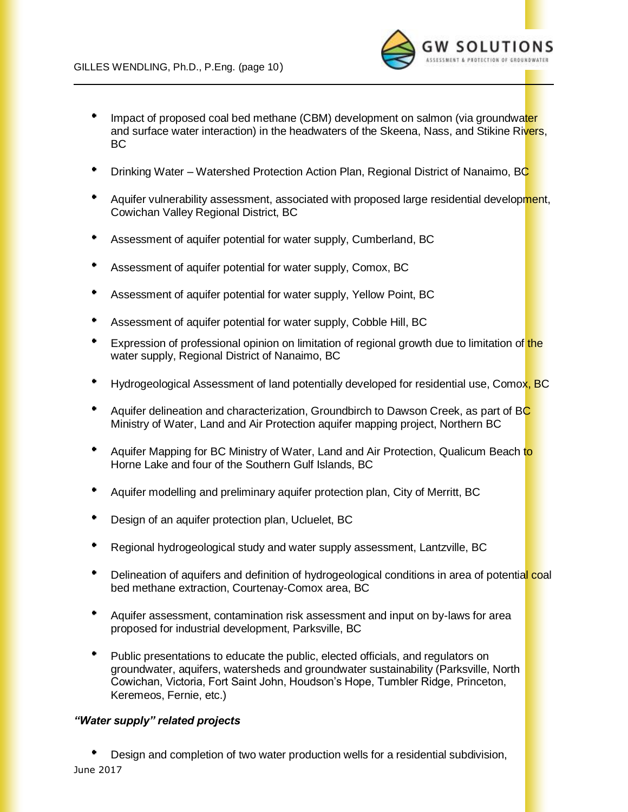

- Impact of proposed coal bed methane (CBM) development on salmon (via groundwater and surface water interaction) in the headwaters of the Skeena, Nass, and Stikine Rivers, BC
- Drinking Water Watershed Protection Action Plan, Regional District of Nanaimo, BC
- Aquifer vulnerability assessment, associated with proposed large residential development, Cowichan Valley Regional District, BC
- Assessment of aquifer potential for water supply, Cumberland, BC
- Assessment of aquifer potential for water supply, Comox, BC
- Assessment of aquifer potential for water supply, Yellow Point, BC
- Assessment of aquifer potential for water supply, Cobble Hill, BC
- Expression of professional opinion on limitation of regional growth due to limitation of the water supply, Regional District of Nanaimo, BC
- Hydrogeological Assessment of land potentially developed for residential use, Comox, BC
- Aquifer delineation and characterization, Groundbirch to Dawson Creek, as part of BC Ministry of Water, Land and Air Protection aquifer mapping project, Northern BC
- $\bullet$  . Aquifer Mapping for BC Ministry of Water, Land and Air Protection, Qualicum Beach to Horne Lake and four of the Southern Gulf Islands, BC
- Aquifer modelling and preliminary aquifer protection plan, City of Merritt, BC
- Design of an aquifer protection plan, Ucluelet, BC
- Regional hydrogeological study and water supply assessment, Lantzville, BC
- Delineation of aquifers and definition of hydrogeological conditions in area of potential coal bed methane extraction, Courtenay-Comox area, BC
- Aquifer assessment, contamination risk assessment and input on by-laws for area proposed for industrial development, Parksville, BC
- Public presentations to educate the public, elected officials, and regulators on groundwater, aquifers, watersheds and groundwater sustainability (Parksville, North Cowichan, Victoria, Fort Saint John, Houdson's Hope, Tumbler Ridge, Princeton, Keremeos, Fernie, etc.)

#### *"Water supply" related projects*

June 2017 Design and completion of two water production wells for a residential subdivision,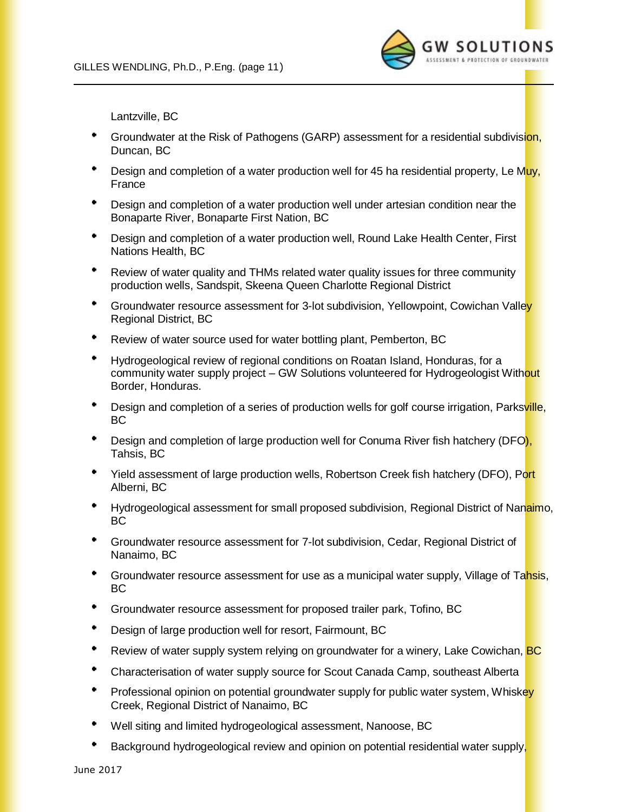

Lantzville, BC

- <sup>+</sup> Groundwater at the Risk of Pathogens (GARP) assessment for a residential subdivision, Duncan, BC
- Design and completion of a water production well for 45 ha residential property, Le Muy, France
- Design and completion of a water production well under artesian condition near the Bonaparte River, Bonaparte First Nation, BC
- Design and completion of a water production well, Round Lake Health Center, First Nations Health, BC
- Review of water quality and THMs related water quality issues for three community production wells, Sandspit, Skeena Queen Charlotte Regional District
- <sup>\*</sup> Groundwater resource assessment for 3-lot subdivision, Yellowpoint, Cowichan Valley Regional District, BC
- Review of water source used for water bottling plant, Pemberton, BC
- $\mathbf{B}^{\mathrm{H}}$  and Hydrogeological review of regional conditions on Roatan Island, Honduras, for a community water supply project – GW Solutions volunteered for Hydrogeologist Without Border, Honduras.
- Design and completion of a series of production wells for golf course irrigation, Parksville, BC
- Design and completion of large production well for Conuma River fish hatchery (DFO), Tahsis, BC
- Yield assessment of large production wells, Robertson Creek fish hatchery (DFO), Port Alberni, BC
- Hydrogeological assessment for small proposed subdivision, Regional District of Nanaimo, BC
- $\bullet$ Groundwater resource assessment for 7-lot subdivision, Cedar, Regional District of Nanaimo, BC
- Groundwater resource assessment for use as a municipal water supply, Village of Tahsis, BC
- ٠ Groundwater resource assessment for proposed trailer park, Tofino, BC
- ٠ Design of large production well for resort, Fairmount, BC
- ٠ Review of water supply system relying on groundwater for a winery, Lake Cowichan, **BC**
- $\bullet$ Characterisation of water supply source for Scout Canada Camp, southeast Alberta
- $\bullet$ Professional opinion on potential groundwater supply for public water system, Whiskey Creek, Regional District of Nanaimo, BC
- $\bullet$ Well siting and limited hydrogeological assessment, Nanoose, BC
- Background hydrogeological review and opinion on potential residential water supply,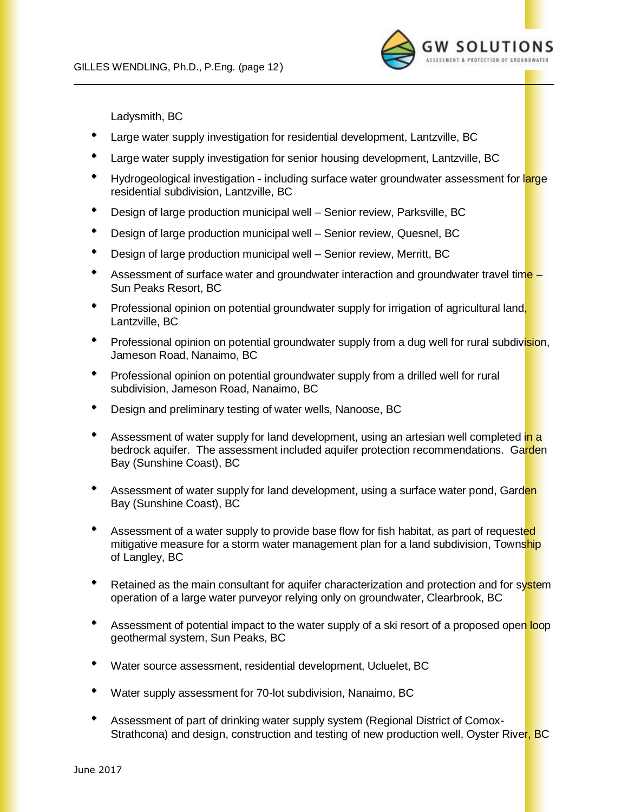

Ladysmith, BC

- Large water supply investigation for residential development, Lantzville, BC
- Large water supply investigation for senior housing development, Lantzville, BC
- $\bullet$  . Hydrogeological investigation - including surface water groundwater assessment for large residential subdivision, Lantzville, BC
- Design of large production municipal well Senior review, Parksville, BC
- Design of large production municipal well Senior review, Quesnel, BC
- Design of large production municipal well Senior review, Merritt, BC
- ٠. Assessment of surface water and groundwater interaction and groundwater travel time -Sun Peaks Resort, BC
- Professional opinion on potential groundwater supply for irrigation of agricultural land, Lantzville, BC
- Professional opinion on potential groundwater supply from a dug well for rural subdivision, Jameson Road, Nanaimo, BC
- Professional opinion on potential groundwater supply from a drilled well for rural subdivision, Jameson Road, Nanaimo, BC
- Design and preliminary testing of water wells, Nanoose, BC
- Assessment of water supply for land development, using an artesian well completed in a bedrock aquifer. The assessment included aquifer protection recommendations. Garden Bay (Sunshine Coast), BC
- Assessment of water supply for land development, using a surface water pond, Garden Bay (Sunshine Coast), BC
- $\bullet$ Assessment of a water supply to provide base flow for fish habitat, as part of requested mitigative measure for a storm water management plan for a land subdivision, Township of Langley, BC
- Retained as the main consultant for aquifer characterization and protection and for system operation of a large water purveyor relying only on groundwater, Clearbrook, BC
- $\bullet$ Assessment of potential impact to the water supply of a ski resort of a proposed open loop geothermal system, Sun Peaks, BC
- Water source assessment, residential development, Ucluelet, BC
- Water supply assessment for 70-lot subdivision, Nanaimo, BC
- Assessment of part of drinking water supply system (Regional District of Comox-Strathcona) and design, construction and testing of new production well, Oyster River, BC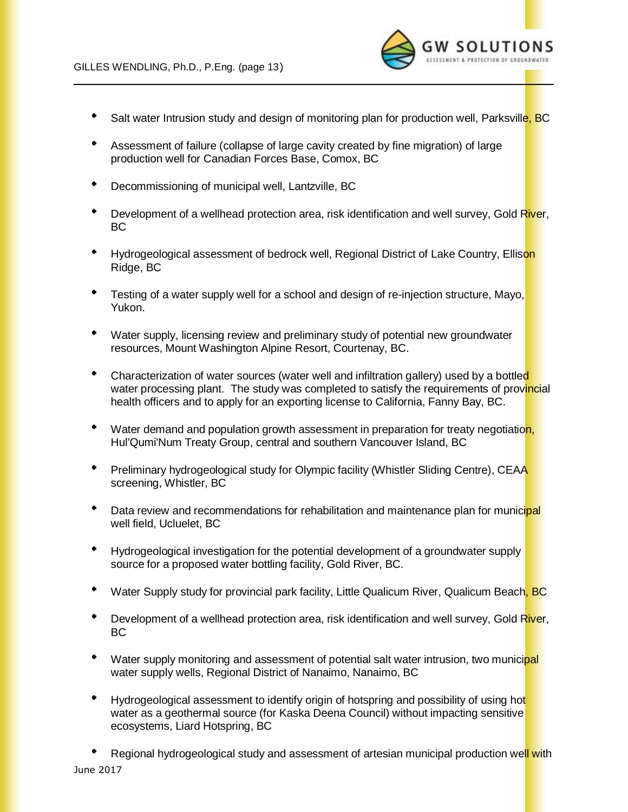

- ٠ Salt water Intrusion study and design of monitoring plan for production well, Parksville, BC
- Assessment of failure (collapse of large cavity created by fine migration) of large production well for Canadian Forces Base, Comox, BC
- Decommissioning of municipal well, Lantzville, BC
- Development of a wellhead protection area, risk identification and well survey, Gold River, BC
- Hydrogeological assessment of bedrock well, Regional District of Lake Country, Ellison Ridge, BC
- <sup>\*</sup> Testing of a water supply well for a school and design of re-injection structure, Mayo, Yukon.
- Water supply, licensing review and preliminary study of potential new groundwater resources, Mount Washington Alpine Resort, Courtenay, BC.
- ٠ Characterization of water sources (water well and infiltration gallery) used by a bottled water processing plant. The study was completed to satisfy the requirements of provincial health officers and to apply for an exporting license to California, Fanny Bay, BC.
- \* Water demand and population growth assessment in preparation for treaty negotiation, Hul'Qumi'Num Treaty Group, central and southern Vancouver Island, BC
- Preliminary hydrogeological study for Olympic facility (Whistler Sliding Centre), CEAA screening, Whistler, BC
- $\bullet$  . Data review and recommendations for rehabilitation and maintenance plan for municipal well field, Ucluelet, BC
- Hydrogeological investigation for the potential development of a groundwater supply source for a proposed water bottling facility, Gold River, BC.
- ٠ Water Supply study for provincial park facility, Little Qualicum River, Qualicum Beach, BC
- **Development of a wellhead protection area, risk identification and well survey, Gold River,** BC
- Water supply monitoring and assessment of potential salt water intrusion, two municipal water supply wells, Regional District of Nanaimo, Nanaimo, BC
- Hydrogeological assessment to identify origin of hotspring and possibility of using hot water as a geothermal source (for Kaska Deena Council) without impacting sensitive ecosystems, Liard Hotspring, BC

June 2017 Regional hydrogeological study and assessment of artesian municipal production well with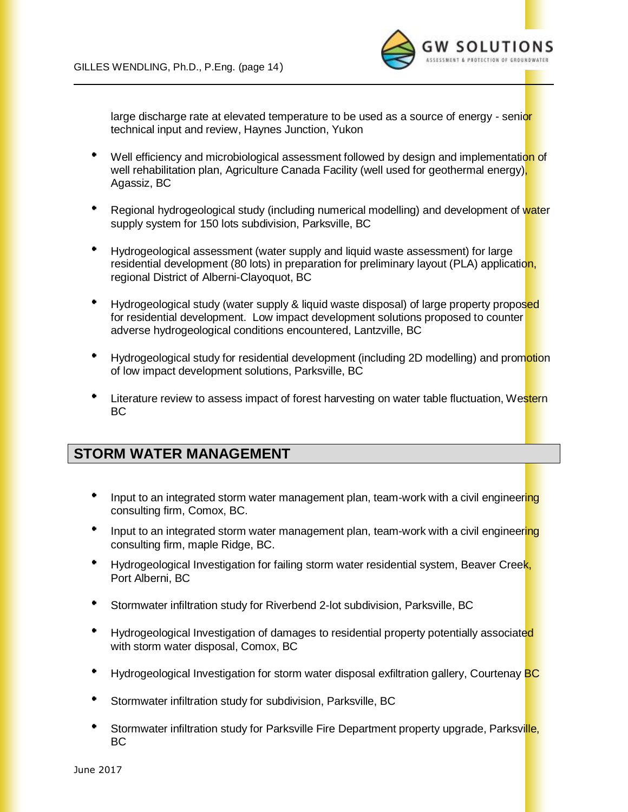

large discharge rate at elevated temperature to be used as a source of energy - senior technical input and review, Haynes Junction, Yukon

- Well efficiency and microbiological assessment followed by design and implementation of well rehabilitation plan, Agriculture Canada Facility (well used for geothermal energy), Agassiz, BC
- Regional hydrogeological study (including numerical modelling) and development of water supply system for 150 lots subdivision, Parksville, BC
- Hydrogeological assessment (water supply and liquid waste assessment) for large residential development (80 lots) in preparation for preliminary layout (PLA) application, regional District of Alberni-Clayoquot, BC
- Hydrogeological study (water supply & liquid waste disposal) of large property proposed for residential development. Low impact development solutions proposed to counter adverse hydrogeological conditions encountered, Lantzville, BC
- Hydrogeological study for residential development (including 2D modelling) and promotion of low impact development solutions, Parksville, BC
- Literature review to assess impact of forest harvesting on water table fluctuation, Western BC

### **STORM WATER MANAGEMENT**

- Input to an integrated storm water management plan, team-work with a civil engineering consulting firm, Comox, BC.
- Input to an integrated storm water management plan, team-work with a civil engineering consulting firm, maple Ridge, BC.
- $\bullet$  .  $\bullet$ Hydrogeological Investigation for failing storm water residential system, Beaver Creek, Port Alberni, BC
- Stormwater infiltration study for Riverbend 2-lot subdivision, Parksville, BC
- Hydrogeological Investigation of damages to residential property potentially associated with storm water disposal, Comox, BC
- ٠ Hydrogeological Investigation for storm water disposal exfiltration gallery, Courtenay BC
- ٠ Stormwater infiltration study for subdivision, Parksville, BC
- ٠ Stormwater infiltration study for Parksville Fire Department property upgrade, Parksville, BC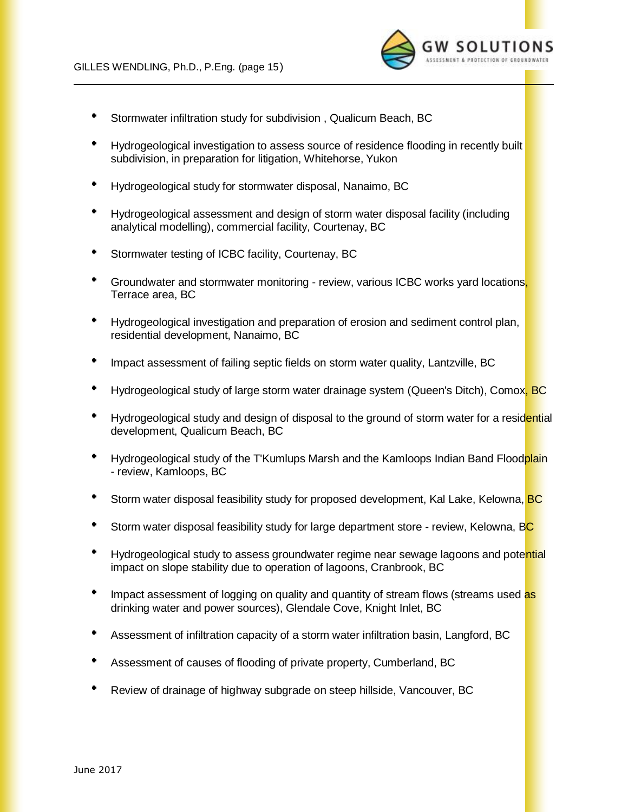

- ٠ Stormwater infiltration study for subdivision , Qualicum Beach, BC
- Hydrogeological investigation to assess source of residence flooding in recently built subdivision, in preparation for litigation, Whitehorse, Yukon
- $\bullet$ Hydrogeological study for stormwater disposal, Nanaimo, BC
- Hydrogeological assessment and design of storm water disposal facility (including analytical modelling), commercial facility, Courtenay, BC
- Stormwater testing of ICBC facility, Courtenay, BC
- ٠ Groundwater and stormwater monitoring - review, various ICBC works yard locations, Terrace area, BC
- Hydrogeological investigation and preparation of erosion and sediment control plan, residential development, Nanaimo, BC
- Impact assessment of failing septic fields on storm water quality, Lantzville, BC
- Hydrogeological study of large storm water drainage system (Queen's Ditch), Comox, BC
- Hydrogeological study and design of disposal to the ground of storm water for a residential development, Qualicum Beach, BC
- Hydrogeological study of the T'Kumlups Marsh and the Kamloops Indian Band Floodplain - review, Kamloops, BC
- Storm water disposal feasibility study for proposed development, Kal Lake, Kelowna, BC
- Storm water disposal feasibility study for large department store review, Kelowna, BC
- Hydrogeological study to assess groundwater regime near sewage lagoons and potential impact on slope stability due to operation of lagoons, Cranbrook, BC
- Impact assessment of logging on quality and quantity of stream flows (streams used as drinking water and power sources), Glendale Cove, Knight Inlet, BC
- Assessment of infiltration capacity of a storm water infiltration basin, Langford, BC
- Assessment of causes of flooding of private property, Cumberland, BC
- Review of drainage of highway subgrade on steep hillside, Vancouver, BC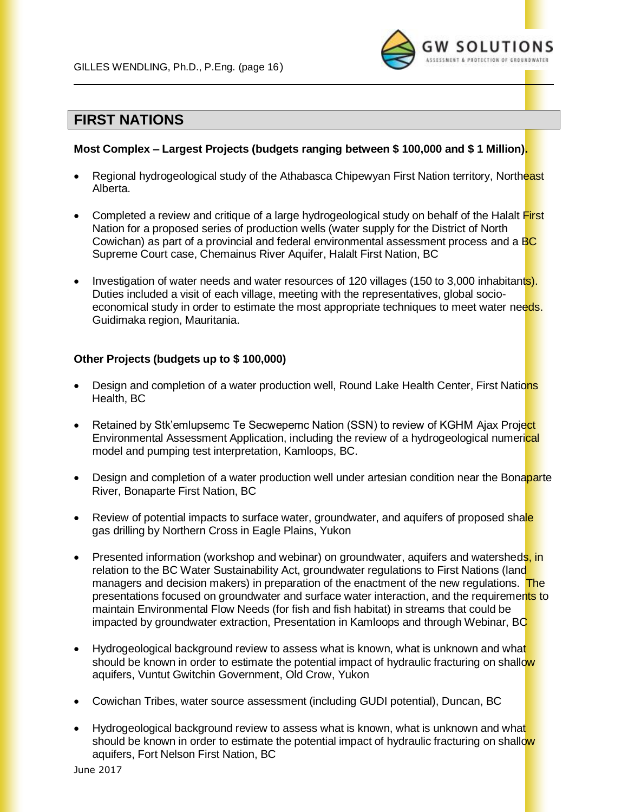

### **FIRST NATIONS**

#### **Most Complex – Largest Projects (budgets ranging between \$ 100,000 and \$ 1 Million).**

- Regional hydrogeological study of the Athabasca Chipewyan First Nation territory, Northeast Alberta.
- Completed a review and critique of a large hydrogeological study on behalf of the Halalt First Nation for a proposed series of production wells (water supply for the District of North Cowichan) as part of a provincial and federal environmental assessment process and a BC Supreme Court case, Chemainus River Aquifer, Halalt First Nation, BC
- Investigation of water needs and water resources of 120 villages (150 to 3,000 inhabitants). Duties included a visit of each village, meeting with the representatives, global socioeconomical study in order to estimate the most appropriate techniques to meet water needs. Guidimaka region, Mauritania.

#### **Other Projects (budgets up to \$ 100,000)**

- Design and completion of a water production well, Round Lake Health Center, First Nations Health, BC
- Retained by Stk'emlupsemc Te Secwepemc Nation (SSN) to review of KGHM Ajax Project Environmental Assessment Application, including the review of a hydrogeological numerical model and pumping test interpretation, Kamloops, BC.
- Design and completion of a water production well under artesian condition near the Bonaparte River, Bonaparte First Nation, BC
- Review of potential impacts to surface water, groundwater, and aquifers of proposed shale gas drilling by Northern Cross in Eagle Plains, Yukon
- Presented information (workshop and webinar) on groundwater, aquifers and watersheds, in relation to the BC Water Sustainability Act, groundwater regulations to First Nations (land managers and decision makers) in preparation of the enactment of the new regulations. The presentations focused on groundwater and surface water interaction, and the requirements to maintain Environmental Flow Needs (for fish and fish habitat) in streams that could be impacted by groundwater extraction, Presentation in Kamloops and through Webinar, BC
- Hydrogeological background review to assess what is known, what is unknown and what should be known in order to estimate the potential impact of hydraulic fracturing on shallow aquifers, Vuntut Gwitchin Government, Old Crow, Yukon
- Cowichan Tribes, water source assessment (including GUDI potential), Duncan, BC
- Hydrogeological background review to assess what is known, what is unknown and what should be known in order to estimate the potential impact of hydraulic fracturing on shallow aquifers, Fort Nelson First Nation, BC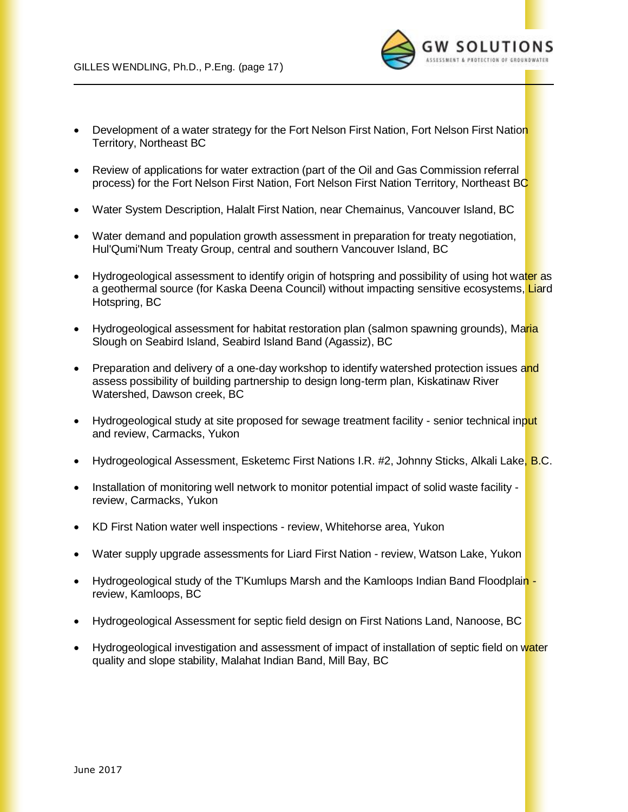

- Development of a water strategy for the Fort Nelson First Nation, Fort Nelson First Nation Territory, Northeast BC
- Review of applications for water extraction (part of the Oil and Gas Commission referral process) for the Fort Nelson First Nation, Fort Nelson First Nation Territory, Northeast BC
- Water System Description, Halalt First Nation, near Chemainus, Vancouver Island, BC
- Water demand and population growth assessment in preparation for treaty negotiation, Hul'Qumi'Num Treaty Group, central and southern Vancouver Island, BC
- Hydrogeological assessment to identify origin of hotspring and possibility of using hot water as a geothermal source (for Kaska Deena Council) without impacting sensitive ecosystems, Liard Hotspring, BC
- Hydrogeological assessment for habitat restoration plan (salmon spawning grounds), Maria Slough on Seabird Island, Seabird Island Band (Agassiz), BC
- Preparation and delivery of a one-day workshop to identify watershed protection issues and assess possibility of building partnership to design long-term plan, Kiskatinaw River Watershed, Dawson creek, BC
- Hydrogeological study at site proposed for sewage treatment facility senior technical input and review, Carmacks, Yukon
- Hydrogeological Assessment, Esketemc First Nations I.R. #2, Johnny Sticks, Alkali Lake, B.C.
- Installation of monitoring well network to monitor potential impact of solid waste facility review, Carmacks, Yukon
- KD First Nation water well inspections review, Whitehorse area, Yukon
- Water supply upgrade assessments for Liard First Nation review, Watson Lake, Yukon
- Hydrogeological study of the T'Kumlups Marsh and the Kamloops Indian Band Floodplain review, Kamloops, BC
- Hydrogeological Assessment for septic field design on First Nations Land, Nanoose, BC
- Hydrogeological investigation and assessment of impact of installation of septic field on water quality and slope stability, Malahat Indian Band, Mill Bay, BC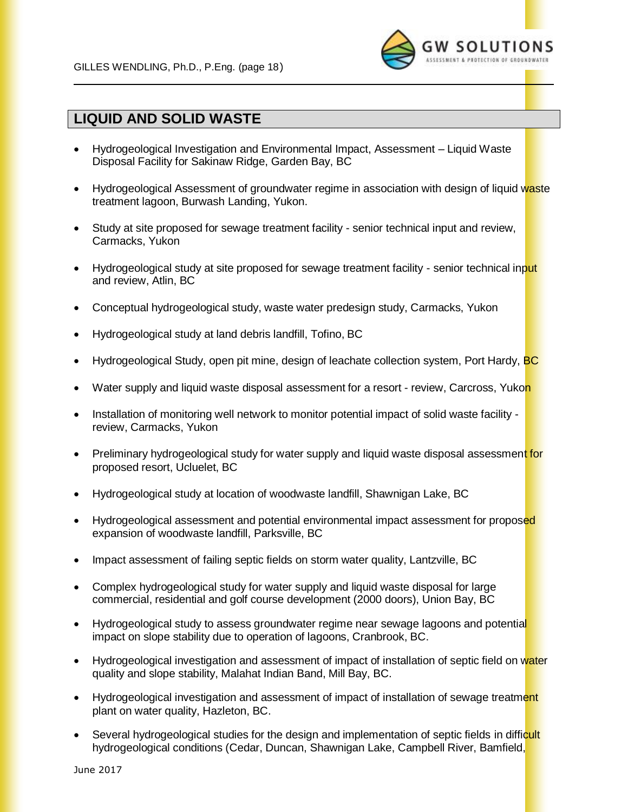

### **LIQUID AND SOLID WASTE**

- Hydrogeological Investigation and Environmental Impact, Assessment Liquid Waste Disposal Facility for Sakinaw Ridge, Garden Bay, BC
- Hydrogeological Assessment of groundwater regime in association with design of liquid waste treatment lagoon, Burwash Landing, Yukon.
- Study at site proposed for sewage treatment facility senior technical input and review, Carmacks, Yukon
- Hydrogeological study at site proposed for sewage treatment facility senior technical input and review, Atlin, BC
- Conceptual hydrogeological study, waste water predesign study, Carmacks, Yukon
- Hydrogeological study at land debris landfill, Tofino, BC
- Hydrogeological Study, open pit mine, design of leachate collection system, Port Hardy, BC
- Water supply and liquid waste disposal assessment for a resort review, Carcross, Yukon
- Installation of monitoring well network to monitor potential impact of solid waste facility review, Carmacks, Yukon
- Preliminary hydrogeological study for water supply and liquid waste disposal assessment for proposed resort, Ucluelet, BC
- Hydrogeological study at location of woodwaste landfill, Shawnigan Lake, BC
- Hydrogeological assessment and potential environmental impact assessment for proposed expansion of woodwaste landfill, Parksville, BC
- Impact assessment of failing septic fields on storm water quality, Lantzville, BC
- Complex hydrogeological study for water supply and liquid waste disposal for large commercial, residential and golf course development (2000 doors), Union Bay, BC
- Hydrogeological study to assess groundwater regime near sewage lagoons and potential impact on slope stability due to operation of lagoons, Cranbrook, BC.
- Hydrogeological investigation and assessment of impact of installation of septic field on water quality and slope stability, Malahat Indian Band, Mill Bay, BC.
- Hydrogeological investigation and assessment of impact of installation of sewage treatment plant on water quality, Hazleton, BC.
- Several hydrogeological studies for the design and implementation of septic fields in difficult hydrogeological conditions (Cedar, Duncan, Shawnigan Lake, Campbell River, Bamfield,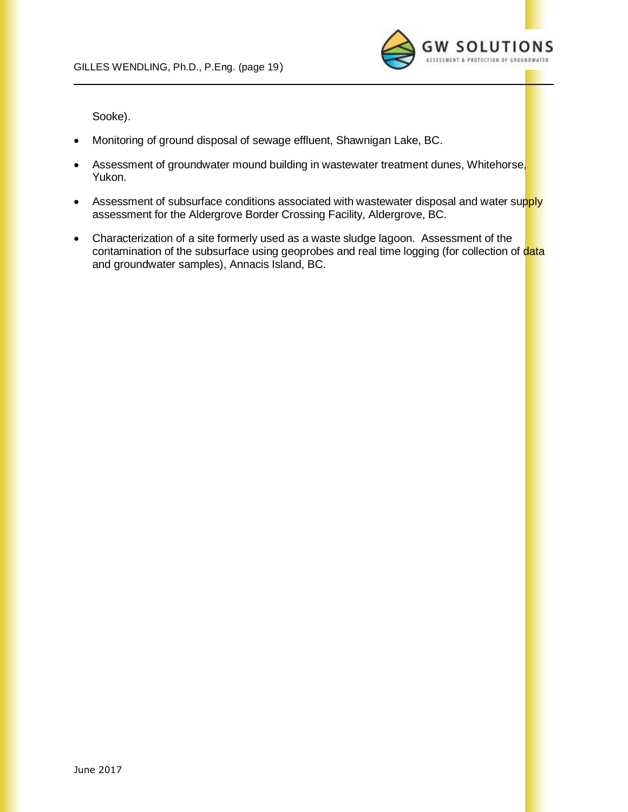

Sooke).

- Monitoring of ground disposal of sewage effluent, Shawnigan Lake, BC.
- Assessment of groundwater mound building in wastewater treatment dunes, Whitehorse, Yukon.
- Assessment of subsurface conditions associated with wastewater disposal and water supply assessment for the Aldergrove Border Crossing Facility, Aldergrove, BC.
- Characterization of a site formerly used as a waste sludge lagoon. Assessment of the contamination of the subsurface using geoprobes and real time logging (for collection of data and groundwater samples), Annacis Island, BC.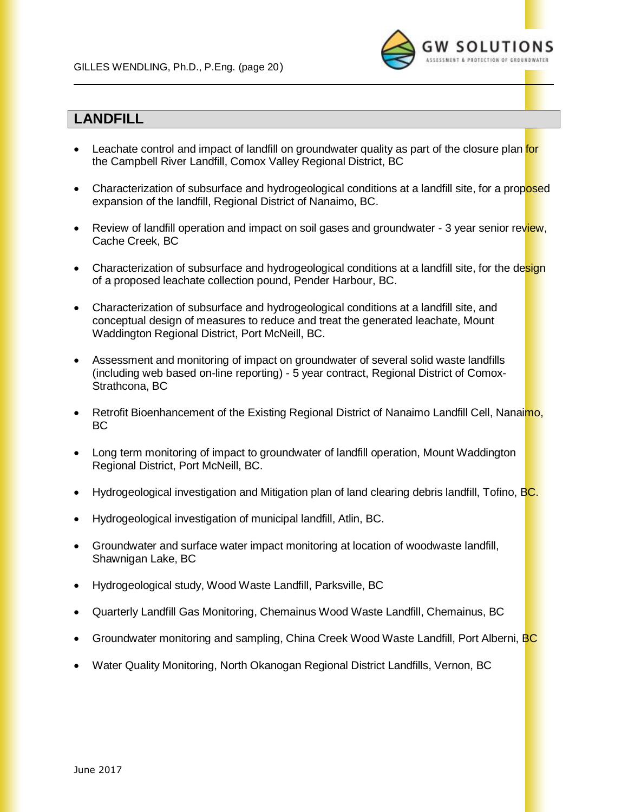

### **LANDFILL**

- Leachate control and impact of landfill on groundwater quality as part of the closure plan for the Campbell River Landfill, Comox Valley Regional District, BC
- Characterization of subsurface and hydrogeological conditions at a landfill site, for a proposed expansion of the landfill, Regional District of Nanaimo, BC.
- Review of landfill operation and impact on soil gases and groundwater 3 year senior review, Cache Creek, BC
- Characterization of subsurface and hydrogeological conditions at a landfill site, for the design of a proposed leachate collection pound, Pender Harbour, BC.
- Characterization of subsurface and hydrogeological conditions at a landfill site, and conceptual design of measures to reduce and treat the generated leachate, Mount Waddington Regional District, Port McNeill, BC.
- Assessment and monitoring of impact on groundwater of several solid waste landfills (including web based on-line reporting) - 5 year contract, Regional District of Comox-Strathcona, BC
- Retrofit Bioenhancement of the Existing Regional District of Nanaimo Landfill Cell, Nanaimo, BC
- Long term monitoring of impact to groundwater of landfill operation, Mount Waddington Regional District, Port McNeill, BC.
- Hydrogeological investigation and Mitigation plan of land clearing debris landfill, Tofino, BC.
- Hydrogeological investigation of municipal landfill, Atlin, BC.
- Groundwater and surface water impact monitoring at location of woodwaste landfill, Shawnigan Lake, BC
- Hydrogeological study, Wood Waste Landfill, Parksville, BC
- Quarterly Landfill Gas Monitoring, Chemainus Wood Waste Landfill, Chemainus, BC
- Groundwater monitoring and sampling, China Creek Wood Waste Landfill, Port Alberni, BC
- Water Quality Monitoring, North Okanogan Regional District Landfills, Vernon, BC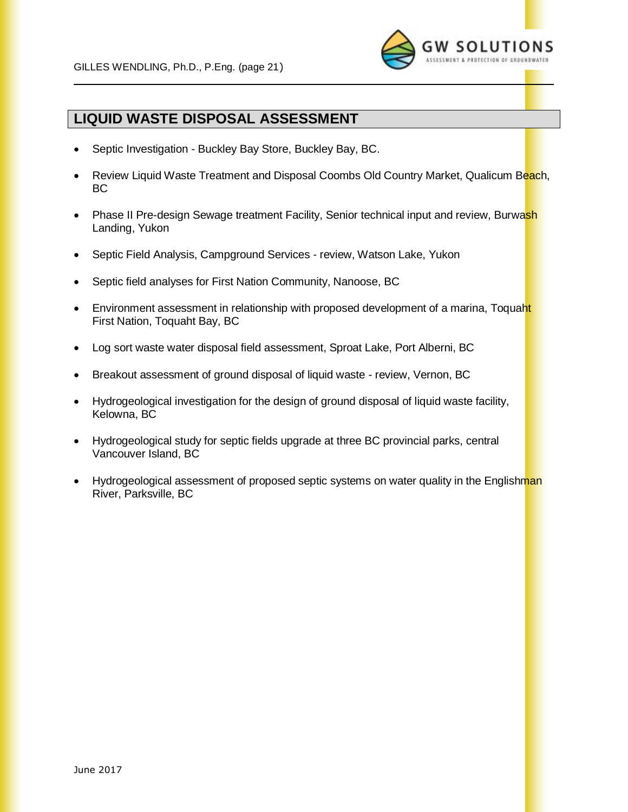

## **LIQUID WASTE DISPOSAL ASSESSMENT**

- Septic Investigation Buckley Bay Store, Buckley Bay, BC.
- Review Liquid Waste Treatment and Disposal Coombs Old Country Market, Qualicum Beach, BC
- Phase II Pre-design Sewage treatment Facility, Senior technical input and review, Burwash Landing, Yukon
- Septic Field Analysis, Campground Services review, Watson Lake, Yukon
- Septic field analyses for First Nation Community, Nanoose, BC
- Environment assessment in relationship with proposed development of a marina, Toquaht First Nation, Toquaht Bay, BC
- Log sort waste water disposal field assessment, Sproat Lake, Port Alberni, BC
- Breakout assessment of ground disposal of liquid waste review, Vernon, BC
- Hydrogeological investigation for the design of ground disposal of liquid waste facility, Kelowna, BC
- Hydrogeological study for septic fields upgrade at three BC provincial parks, central Vancouver Island, BC
- Hydrogeological assessment of proposed septic systems on water quality in the Englishman River, Parksville, BC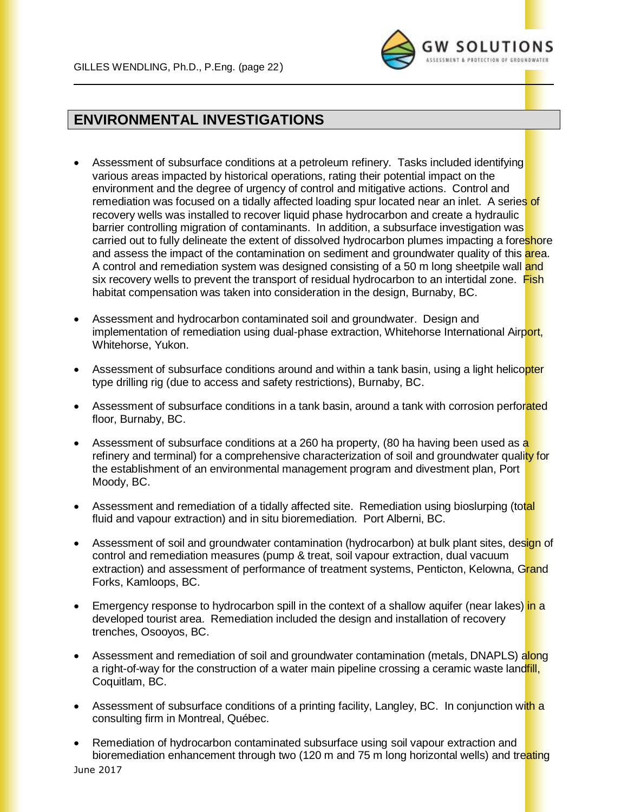

# **ENVIRONMENTAL INVESTIGATIONS**

- Assessment of subsurface conditions at a petroleum refinery. Tasks included identifying various areas impacted by historical operations, rating their potential impact on the environment and the degree of urgency of control and mitigative actions. Control and remediation was focused on a tidally affected loading spur located near an inlet. A series of recovery wells was installed to recover liquid phase hydrocarbon and create a hydraulic barrier controlling migration of contaminants. In addition, a subsurface investigation was carried out to fully delineate the extent of dissolved hydrocarbon plumes impacting a foreshore and assess the impact of the contamination on sediment and groundwater quality of this area. A control and remediation system was designed consisting of a 50 m long sheetpile wall and six recovery wells to prevent the transport of residual hydrocarbon to an intertidal zone. Fish habitat compensation was taken into consideration in the design, Burnaby, BC.
- Assessment and hydrocarbon contaminated soil and groundwater. Design and implementation of remediation using dual-phase extraction, Whitehorse International Airport, Whitehorse, Yukon.
- Assessment of subsurface conditions around and within a tank basin, using a light helicopter type drilling rig (due to access and safety restrictions), Burnaby, BC.
- Assessment of subsurface conditions in a tank basin, around a tank with corrosion perforated floor, Burnaby, BC.
- Assessment of subsurface conditions at a 260 ha property, (80 ha having been used as a refinery and terminal) for a comprehensive characterization of soil and groundwater quality for the establishment of an environmental management program and divestment plan, Port Moody, BC.
- Assessment and remediation of a tidally affected site. Remediation using bioslurping (total fluid and vapour extraction) and in situ bioremediation. Port Alberni, BC.
- Assessment of soil and groundwater contamination (hydrocarbon) at bulk plant sites, design of control and remediation measures (pump & treat, soil vapour extraction, dual vacuum extraction) and assessment of performance of treatment systems, Penticton, Kelowna, Grand Forks, Kamloops, BC.
- Emergency response to hydrocarbon spill in the context of a shallow aquifer (near lakes) in a developed tourist area. Remediation included the design and installation of recovery trenches, Osooyos, BC.
- Assessment and remediation of soil and groundwater contamination (metals, DNAPLS) along a right-of-way for the construction of a water main pipeline crossing a ceramic waste land ill, Coquitlam, BC.
- Assessment of subsurface conditions of a printing facility, Langley, BC. In conjunction with a consulting firm in Montreal, Québec.
- June 2017 • Remediation of hydrocarbon contaminated subsurface using soil vapour extraction and bioremediation enhancement through two (120 m and 75 m long horizontal wells) and treating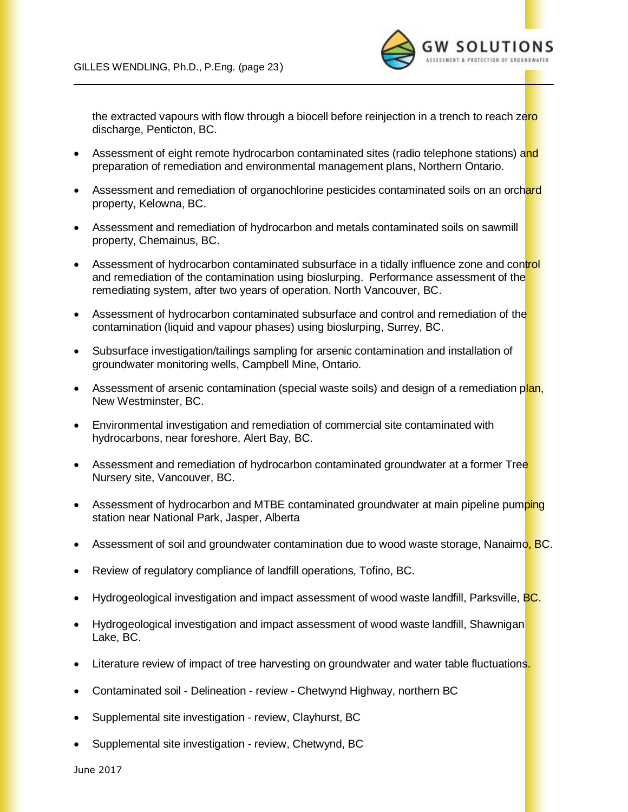

the extracted vapours with flow through a biocell before reinjection in a trench to reach zero discharge, Penticton, BC.

- Assessment of eight remote hydrocarbon contaminated sites (radio telephone stations) and preparation of remediation and environmental management plans, Northern Ontario.
- Assessment and remediation of organochlorine pesticides contaminated soils on an orchard property, Kelowna, BC.
- Assessment and remediation of hydrocarbon and metals contaminated soils on sawmill property, Chemainus, BC.
- Assessment of hydrocarbon contaminated subsurface in a tidally influence zone and control and remediation of the contamination using bioslurping. Performance assessment of the remediating system, after two years of operation. North Vancouver, BC.
- Assessment of hydrocarbon contaminated subsurface and control and remediation of the contamination (liquid and vapour phases) using bioslurping, Surrey, BC.
- Subsurface investigation/tailings sampling for arsenic contamination and installation of groundwater monitoring wells, Campbell Mine, Ontario.
- Assessment of arsenic contamination (special waste soils) and design of a remediation plan, New Westminster, BC.
- Environmental investigation and remediation of commercial site contaminated with hydrocarbons, near foreshore, Alert Bay, BC.
- Assessment and remediation of hydrocarbon contaminated groundwater at a former Tree Nursery site, Vancouver, BC.
- Assessment of hydrocarbon and MTBE contaminated groundwater at main pipeline pumping station near National Park, Jasper, Alberta
- Assessment of soil and groundwater contamination due to wood waste storage, Nanaimo, BC.
- Review of regulatory compliance of landfill operations, Tofino, BC.
- Hydrogeological investigation and impact assessment of wood waste landfill, Parksville, BC.
- Hydrogeological investigation and impact assessment of wood waste landfill, Shawnigan Lake, BC.
- Literature review of impact of tree harvesting on groundwater and water table fluctuations.
- Contaminated soil Delineation review Chetwynd Highway, northern BC
- Supplemental site investigation review, Clayhurst, BC
- Supplemental site investigation review, Chetwynd, BC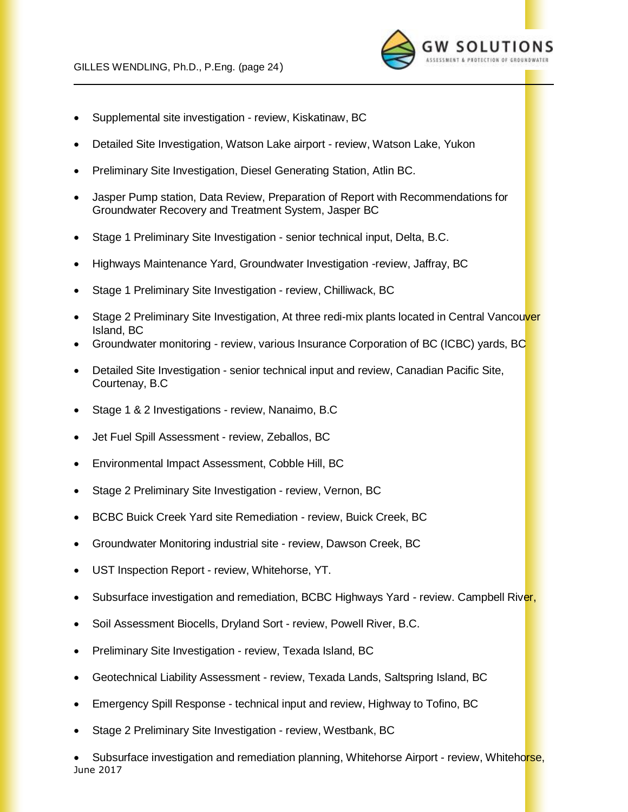

- Supplemental site investigation review, Kiskatinaw, BC
- Detailed Site Investigation, Watson Lake airport review, Watson Lake, Yukon
- Preliminary Site Investigation, Diesel Generating Station, Atlin BC.
- Jasper Pump station, Data Review, Preparation of Report with Recommendations for Groundwater Recovery and Treatment System, Jasper BC
- Stage 1 Preliminary Site Investigation senior technical input, Delta, B.C.
- Highways Maintenance Yard, Groundwater Investigation -review, Jaffray, BC
- Stage 1 Preliminary Site Investigation review, Chilliwack, BC
- Stage 2 Preliminary Site Investigation, At three redi-mix plants located in Central Vancouver Island, BC
- Groundwater monitoring review, various Insurance Corporation of BC (ICBC) yards, BC
- Detailed Site Investigation senior technical input and review, Canadian Pacific Site, Courtenay, B.C
- Stage 1 & 2 Investigations review, Nanaimo, B.C
- Jet Fuel Spill Assessment review, Zeballos, BC
- Environmental Impact Assessment, Cobble Hill, BC
- Stage 2 Preliminary Site Investigation review, Vernon, BC
- BCBC Buick Creek Yard site Remediation review, Buick Creek, BC
- Groundwater Monitoring industrial site review, Dawson Creek, BC
- UST Inspection Report review, Whitehorse, YT.
- Subsurface investigation and remediation, BCBC Highways Yard review. Campbell River,
- Soil Assessment Biocells, Dryland Sort review, Powell River, B.C.
- Preliminary Site Investigation review, Texada Island, BC
- Geotechnical Liability Assessment review, Texada Lands, Saltspring Island, BC
- Emergency Spill Response technical input and review, Highway to Tofino, BC
- Stage 2 Preliminary Site Investigation review, Westbank, BC

June 2017 Subsurface investigation and remediation planning, Whitehorse Airport - review, Whitehorse,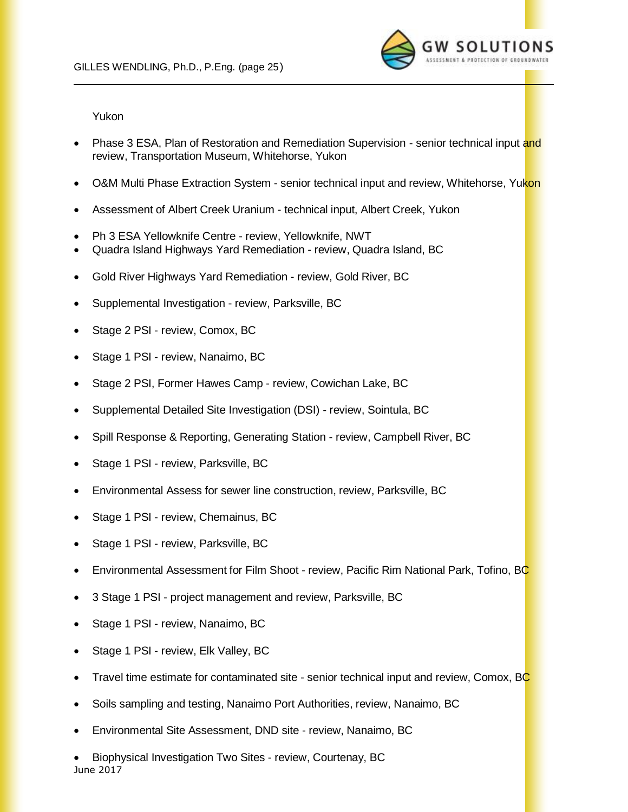

Yukon

- Phase 3 ESA, Plan of Restoration and Remediation Supervision senior technical input and review, Transportation Museum, Whitehorse, Yukon
- O&M Multi Phase Extraction System senior technical input and review, Whitehorse, Yukon
- Assessment of Albert Creek Uranium technical input, Albert Creek, Yukon
- Ph 3 ESA Yellowknife Centre review, Yellowknife, NWT
- Quadra Island Highways Yard Remediation review, Quadra Island, BC
- Gold River Highways Yard Remediation review, Gold River, BC
- Supplemental Investigation review, Parksville, BC
- Stage 2 PSI review, Comox, BC
- Stage 1 PSI review, Nanaimo, BC
- Stage 2 PSI, Former Hawes Camp review, Cowichan Lake, BC
- Supplemental Detailed Site Investigation (DSI) review, Sointula, BC
- Spill Response & Reporting, Generating Station review, Campbell River, BC
- Stage 1 PSI review, Parksville, BC
- Environmental Assess for sewer line construction, review, Parksville, BC
- Stage 1 PSI review, Chemainus, BC
- Stage 1 PSI review, Parksville, BC
- Environmental Assessment for Film Shoot review, Pacific Rim National Park, Tofino, BC
- 3 Stage 1 PSI project management and review, Parksville, BC
- Stage 1 PSI review, Nanaimo, BC
- Stage 1 PSI review, Elk Valley, BC
- Travel time estimate for contaminated site senior technical input and review, Comox, BC
- Soils sampling and testing, Nanaimo Port Authorities, review, Nanaimo, BC
- Environmental Site Assessment, DND site review, Nanaimo, BC
- June 2017 • Biophysical Investigation Two Sites - review, Courtenay, BC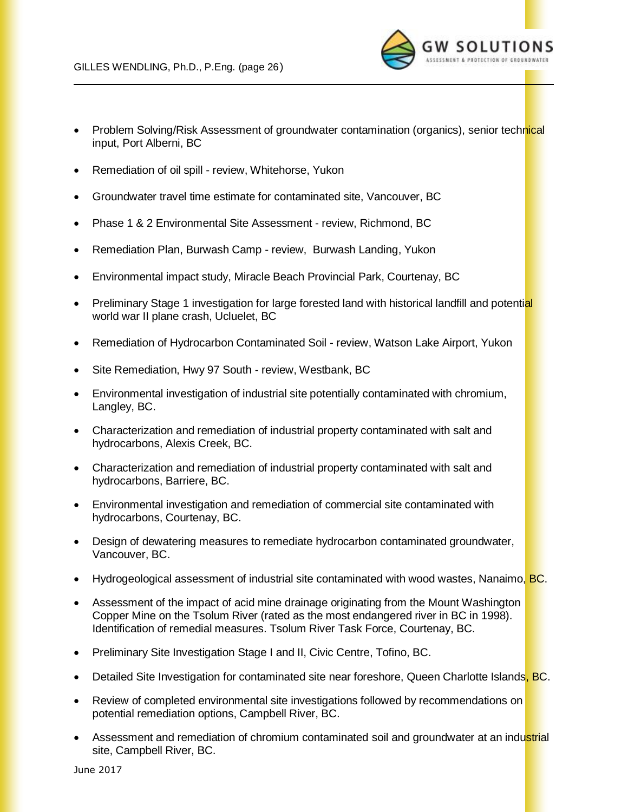

- Problem Solving/Risk Assessment of groundwater contamination (organics), senior technical input, Port Alberni, BC
- Remediation of oil spill review, Whitehorse, Yukon
- Groundwater travel time estimate for contaminated site, Vancouver, BC
- Phase 1 & 2 Environmental Site Assessment review, Richmond, BC
- Remediation Plan, Burwash Camp review, Burwash Landing, Yukon
- Environmental impact study, Miracle Beach Provincial Park, Courtenay, BC
- Preliminary Stage 1 investigation for large forested land with historical landfill and potential world war II plane crash, Ucluelet, BC
- Remediation of Hydrocarbon Contaminated Soil review, Watson Lake Airport, Yukon
- Site Remediation, Hwy 97 South review, Westbank, BC
- Environmental investigation of industrial site potentially contaminated with chromium, Langley, BC.
- Characterization and remediation of industrial property contaminated with salt and hydrocarbons, Alexis Creek, BC.
- Characterization and remediation of industrial property contaminated with salt and hydrocarbons, Barriere, BC.
- Environmental investigation and remediation of commercial site contaminated with hydrocarbons, Courtenay, BC.
- Design of dewatering measures to remediate hydrocarbon contaminated groundwater, Vancouver, BC.
- Hydrogeological assessment of industrial site contaminated with wood wastes, Nanaimo, **BC**.
- Assessment of the impact of acid mine drainage originating from the Mount Washington Copper Mine on the Tsolum River (rated as the most endangered river in BC in 1998). Identification of remedial measures. Tsolum River Task Force, Courtenay, BC.
- Preliminary Site Investigation Stage I and II, Civic Centre, Tofino, BC.
- Detailed Site Investigation for contaminated site near foreshore, Queen Charlotte Islands, BC.
- Review of completed environmental site investigations followed by recommendations on potential remediation options, Campbell River, BC.
- Assessment and remediation of chromium contaminated soil and groundwater at an industrial site, Campbell River, BC.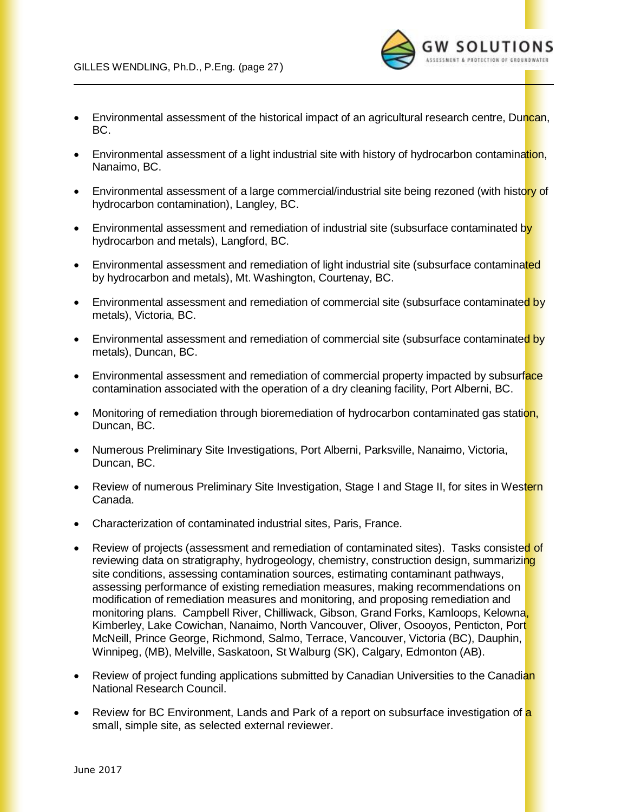

**SOLUTIONS** 

- Environmental assessment of a light industrial site with history of hydrocarbon contamination, Nanaimo, BC.
- Environmental assessment of a large commercial/industrial site being rezoned (with history of hydrocarbon contamination), Langley, BC.
- Environmental assessment and remediation of industrial site (subsurface contaminated by hydrocarbon and metals), Langford, BC.
- Environmental assessment and remediation of light industrial site (subsurface contaminated by hydrocarbon and metals), Mt. Washington, Courtenay, BC.
- Environmental assessment and remediation of commercial site (subsurface contaminated by metals), Victoria, BC.
- Environmental assessment and remediation of commercial site (subsurface contaminated by metals), Duncan, BC.
- Environmental assessment and remediation of commercial property impacted by subsurface contamination associated with the operation of a dry cleaning facility, Port Alberni, BC.
- Monitoring of remediation through bioremediation of hydrocarbon contaminated gas station, Duncan, BC.
- Numerous Preliminary Site Investigations, Port Alberni, Parksville, Nanaimo, Victoria, Duncan, BC.
- Review of numerous Preliminary Site Investigation, Stage I and Stage II, for sites in Western Canada.
- Characterization of contaminated industrial sites, Paris, France.
- Review of projects (assessment and remediation of contaminated sites). Tasks consisted of reviewing data on stratigraphy, hydrogeology, chemistry, construction design, summarizing site conditions, assessing contamination sources, estimating contaminant pathways, assessing performance of existing remediation measures, making recommendations on modification of remediation measures and monitoring, and proposing remediation and monitoring plans. Campbell River, Chilliwack, Gibson, Grand Forks, Kamloops, Kelowna, Kimberley, Lake Cowichan, Nanaimo, North Vancouver, Oliver, Osooyos, Penticton, Port McNeill, Prince George, Richmond, Salmo, Terrace, Vancouver, Victoria (BC), Dauphin, Winnipeg, (MB), Melville, Saskatoon, St Walburg (SK), Calgary, Edmonton (AB).
- Review of project funding applications submitted by Canadian Universities to the Canadian National Research Council.
- Review for BC Environment, Lands and Park of a report on subsurface investigation of a small, simple site, as selected external reviewer.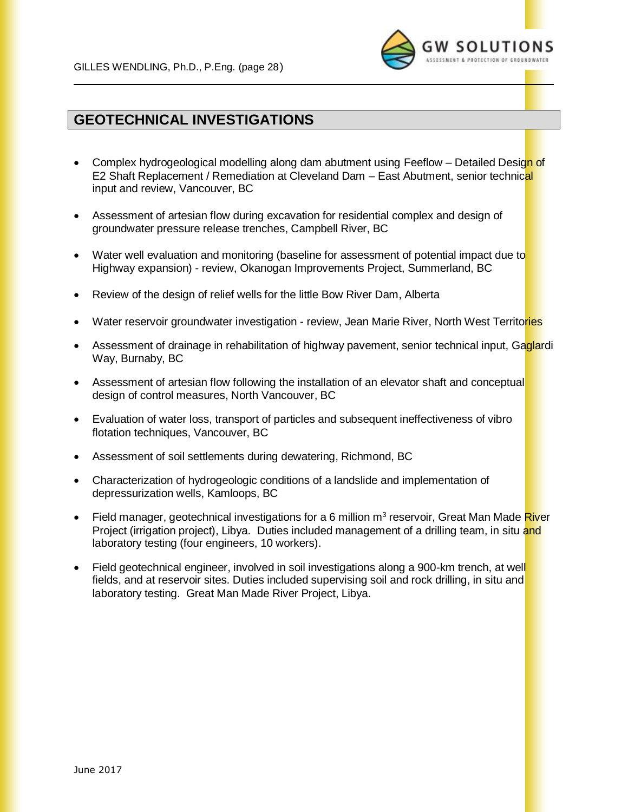

## **GEOTECHNICAL INVESTIGATIONS**

- Complex hydrogeological modelling along dam abutment using Feeflow Detailed Design of E2 Shaft Replacement / Remediation at Cleveland Dam – East Abutment, senior technical input and review, Vancouver, BC
- Assessment of artesian flow during excavation for residential complex and design of groundwater pressure release trenches, Campbell River, BC
- Water well evaluation and monitoring (baseline for assessment of potential impact due to Highway expansion) - review, Okanogan Improvements Project, Summerland, BC
- Review of the design of relief wells for the little Bow River Dam, Alberta
- Water reservoir groundwater investigation review, Jean Marie River, North West Territories
- Assessment of drainage in rehabilitation of highway pavement, senior technical input, Gaglardi Way, Burnaby, BC
- Assessment of artesian flow following the installation of an elevator shaft and conceptual design of control measures, North Vancouver, BC
- Evaluation of water loss, transport of particles and subsequent ineffectiveness of vibro flotation techniques, Vancouver, BC
- Assessment of soil settlements during dewatering, Richmond, BC
- Characterization of hydrogeologic conditions of a landslide and implementation of depressurization wells, Kamloops, BC
- Field manager, geotechnical investigations for a 6 million m<sup>3</sup> reservoir, Great Man Made River Proiect (irrigation project), Libya. Duties included management of a drilling team, in situ and laboratory testing (four engineers, 10 workers).
- Field geotechnical engineer, involved in soil investigations along a 900-km trench, at well fields, and at reservoir sites. Duties included supervising soil and rock drilling, in situ and laboratory testing. Great Man Made River Project, Libya.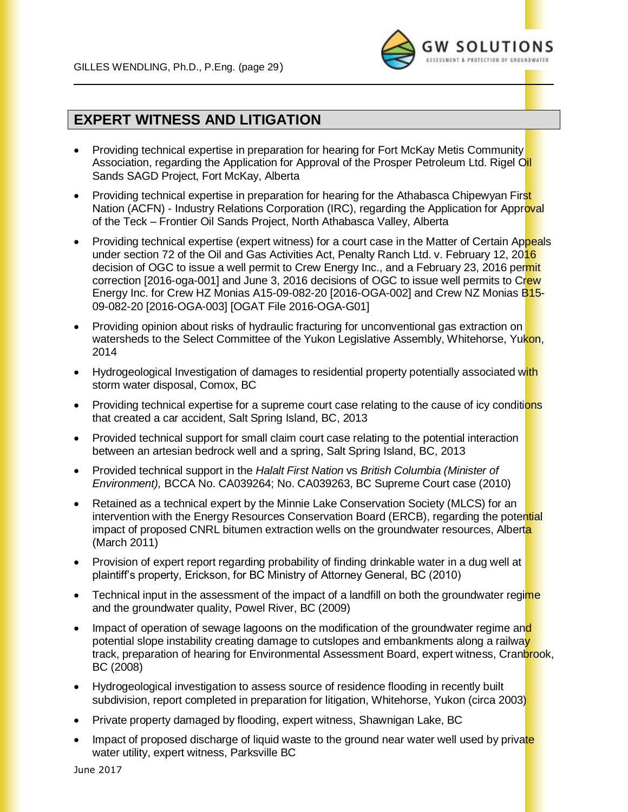

### **EXPERT WITNESS AND LITIGATION**

- Providing technical expertise in preparation for hearing for Fort McKay Metis Community Association, regarding the Application for Approval of the Prosper Petroleum Ltd. Rigel Oil Sands SAGD Project, Fort McKay, Alberta
- Providing technical expertise in preparation for hearing for the Athabasca Chipewyan First Nation (ACFN) - Industry Relations Corporation (IRC), regarding the Application for Approval of the Teck – Frontier Oil Sands Project, North Athabasca Valley, Alberta
- Providing technical expertise (expert witness) for a court case in the Matter of Certain Appeals under section 72 of the Oil and Gas Activities Act, Penalty Ranch Ltd. v. February 12, 2016 decision of OGC to issue a well permit to Crew Energy Inc., and a February 23, 2016 permit correction [2016-oga-001] and June 3, 2016 decisions of OGC to issue well permits to Crew Energy Inc. for Crew HZ Monias A15-09-082-20 [2016-OGA-002] and Crew NZ Monias B15-09-082-20 [2016-OGA-003] [OGAT File 2016-OGA-G01]
- Providing opinion about risks of hydraulic fracturing for unconventional gas extraction on watersheds to the Select Committee of the Yukon Legislative Assembly, Whitehorse, Yukon, 2014
- Hydrogeological Investigation of damages to residential property potentially associated with storm water disposal, Comox, BC
- Providing technical expertise for a supreme court case relating to the cause of icy conditions that created a car accident, Salt Spring Island, BC, 2013
- Provided technical support for small claim court case relating to the potential interaction between an artesian bedrock well and a spring, Salt Spring Island, BC, 2013
- Provided technical support in the *Halalt First Nation* vs *British Columbia (Minister of Environment),* BCCA No. CA039264; No. CA039263, BC Supreme Court case (2010)
- Retained as a technical expert by the Minnie Lake Conservation Society (MLCS) for an intervention with the Energy Resources Conservation Board (ERCB), regarding the potential impact of proposed CNRL bitumen extraction wells on the groundwater resources, Alberta (March 2011)
- Provision of expert report regarding probability of finding drinkable water in a dug well at plaintiff's property, Erickson, for BC Ministry of Attorney General, BC (2010)
- Technical input in the assessment of the impact of a landfill on both the groundwater regime and the groundwater quality, Powel River, BC (2009)
- Impact of operation of sewage lagoons on the modification of the groundwater regime and potential slope instability creating damage to cutslopes and embankments along a railway track, preparation of hearing for Environmental Assessment Board, expert witness, Cranbrook, BC (2008)
- Hydrogeological investigation to assess source of residence flooding in recently built subdivision, report completed in preparation for litigation, Whitehorse, Yukon (circa 2003)
- Private property damaged by flooding, expert witness, Shawnigan Lake, BC
- Impact of proposed discharge of liquid waste to the ground near water well used by private water utility, expert witness, Parksville BC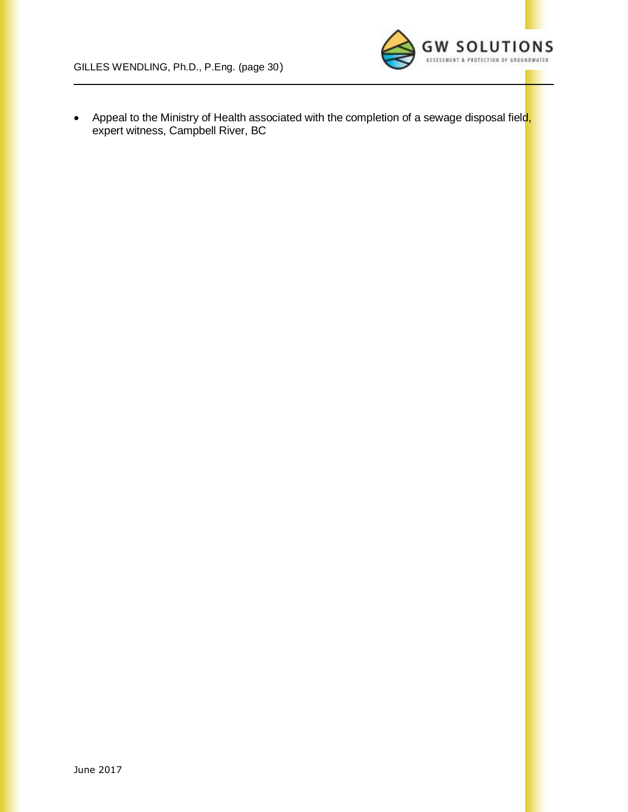

• Appeal to the Ministry of Health associated with the completion of a sewage disposal field, expert witness, Campbell River, BC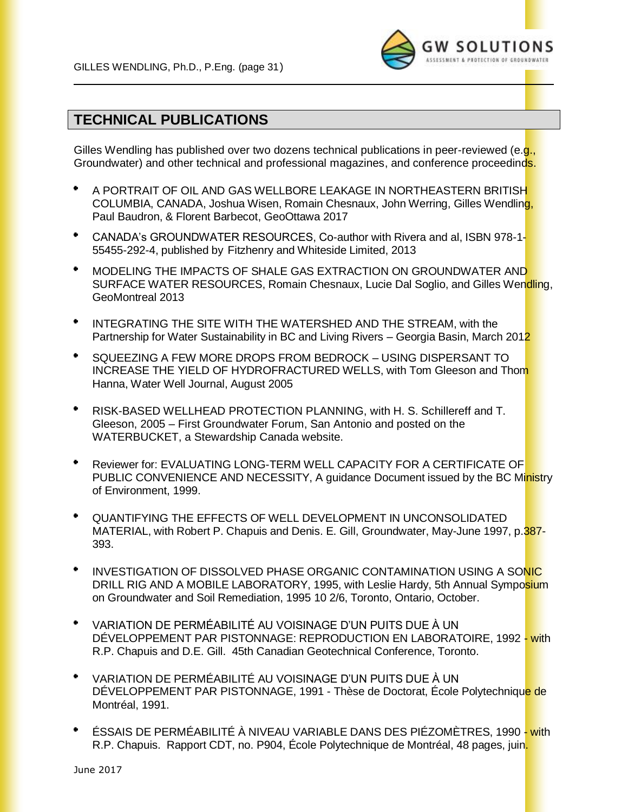

## **TECHNICAL PUBLICATIONS**

Gilles Wendling has published over two dozens technical publications in peer-reviewed (e.g., Groundwater) and other technical and professional magazines, and conference proceedinds.

- A PORTRAIT OF OIL AND GAS WELLBORE LEAKAGE IN NORTHEASTERN BRITISH COLUMBIA, CANADA, Joshua Wisen, Romain Chesnaux, John Werring, Gilles Wendling, Paul Baudron, & Florent Barbecot, GeoOttawa 2017
- ٠ CANADA's GROUNDWATER RESOURCES, Co-author with Rivera and al, ISBN 978-1- 55455-292-4, published by Fitzhenry and Whiteside Limited, 2013
- $\bullet$ MODELING THE IMPACTS OF SHALE GAS EXTRACTION ON GROUNDWATER AND SURFACE WATER RESOURCES, Romain Chesnaux, Lucie Dal Soglio, and Gilles Wendling, GeoMontreal 2013
- $\bullet$ INTEGRATING THE SITE WITH THE WATERSHED AND THE STREAM, with the Partnership for Water Sustainability in BC and Living Rivers – Georgia Basin, March 2012
- $\bullet$ SQUEEZING A FEW MORE DROPS FROM BEDROCK – USING DISPERSANT TO INCREASE THE YIELD OF HYDROFRACTURED WELLS, with Tom Gleeson and Thom Hanna, Water Well Journal, August 2005
- RISK-BASED WELLHEAD PROTECTION PLANNING, with H. S. Schillereff and T. Gleeson, 2005 – First Groundwater Forum, San Antonio and posted on the WATERBUCKET, a Stewardship Canada website.
- ٠ Reviewer for: EVALUATING LONG-TERM WELL CAPACITY FOR A CERTIFICATE OF PUBLIC CONVENIENCE AND NECESSITY, A guidance Document issued by the BC Ministry of Environment, 1999.
- ٠ QUANTIFYING THE EFFECTS OF WELL DEVELOPMENT IN UNCONSOLIDATED MATERIAL, with Robert P. Chapuis and Denis. E. Gill, Groundwater, May-June 1997, p.387-393.
- INVESTIGATION OF DISSOLVED PHASE ORGANIC CONTAMINATION USING A SONIC DRILL RIG AND A MOBILE LABORATORY, 1995, with Leslie Hardy, 5th Annual Symposium on Groundwater and Soil Remediation, 1995 10 2/6, Toronto, Ontario, October.
- $\bullet$ VARIATION DE PERMÉABILITÉ AU VOISINAGE D'UN PUITS DUE À UN DÉVELOPPEMENT PAR PISTONNAGE: REPRODUCTION EN LABORATOIRE, 1992 - with R.P. Chapuis and D.E. Gill. 45th Canadian Geotechnical Conference, Toronto.
- $\bullet$ VARIATION DE PERMÉABILITÉ AU VOISINAGE D'UN PUITS DUE À UN DÉVELOPPEMENT PAR PISTONNAGE, 1991 - Thèse de Doctorat, École Polytechnique de Montréal, 1991.
- $\bullet$ ÉSSAIS DE PERMÉABILITÉ À NIVEAU VARIABLE DANS DES PIÉZOMÈTRES, 1990 - with R.P. Chapuis. Rapport CDT, no. P904, École Polytechnique de Montréal, 48 pages, juin.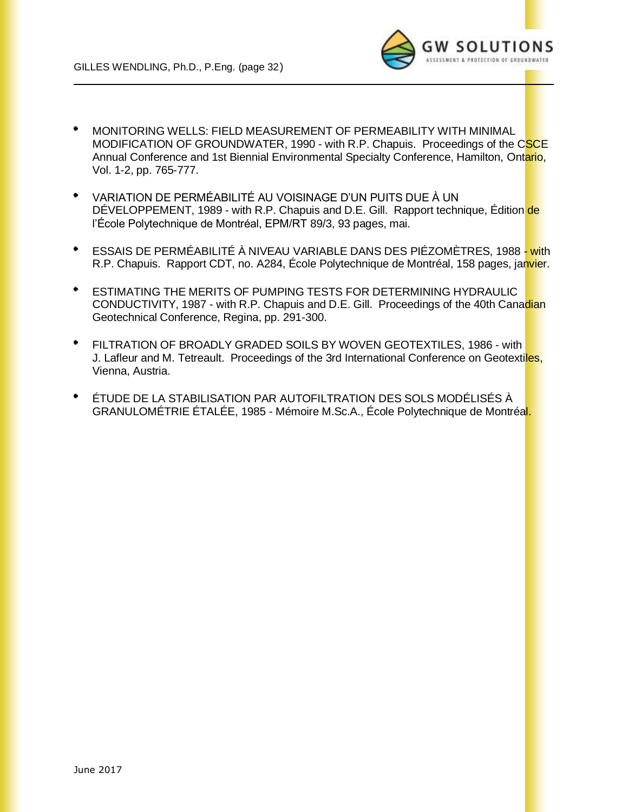

- $\bullet$ MONITORING WELLS: FIELD MEASUREMENT OF PERMEABILITY WITH MINIMAL MODIFICATION OF GROUNDWATER, 1990 - with R.P. Chapuis. Proceedings of the CSCE Annual Conference and 1st Biennial Environmental Specialty Conference, Hamilton, Ontario, Vol. 1-2, pp. 765-777.
- $\bullet$ VARIATION DE PERMÉABILITÉ AU VOISINAGE D'UN PUITS DUE À UN DÉVELOPPEMENT, 1989 - with R.P. Chapuis and D.E. Gill. Rapport technique, Édition de l'École Polytechnique de Montréal, EPM/RT 89/3, 93 pages, mai.
- $\bullet$ ESSAIS DE PERMÉABILITÉ À NIVEAU VARIABLE DANS DES PIÉZOMÈTRES, 1988 - with R.P. Chapuis. Rapport CDT, no. A284, École Polytechnique de Montréal, 158 pages, janvier.
- ESTIMATING THE MERITS OF PUMPING TESTS FOR DETERMINING HYDRAULIC CONDUCTIVITY, 1987 - with R.P. Chapuis and D.E. Gill. Proceedings of the 40th Canadian Geotechnical Conference, Regina, pp. 291-300.
- $\bullet$ FILTRATION OF BROADLY GRADED SOILS BY WOVEN GEOTEXTILES, 1986 - with J. Lafleur and M. Tetreault. Proceedings of the 3rd International Conference on Geotextiles, Vienna, Austria.
- ٠ ÉTUDE DE LA STABILISATION PAR AUTOFILTRATION DES SOLS MODÉLISÉS À GRANULOMÉTRIE ÉTALÉE, 1985 - Mémoire M.Sc.A., École Polytechnique de Montréal.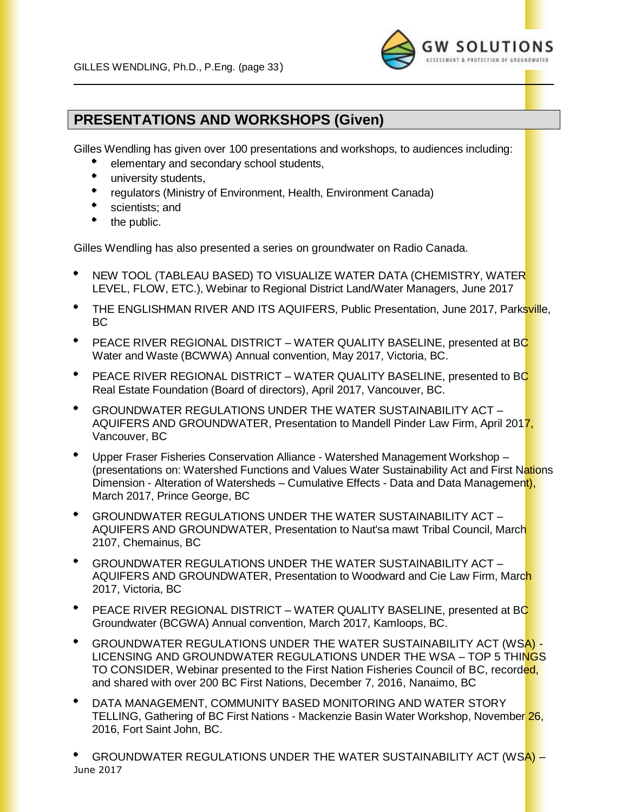

## **PRESENTATIONS AND WORKSHOPS (Given)**

Gilles Wendling has given over 100 presentations and workshops, to audiences including:

- elementary and secondary school students,
- university students,
- $\bullet$ regulators (Ministry of Environment, Health, Environment Canada)
- ٠ scientists; and
- the public.

Gilles Wendling has also presented a series on groundwater on Radio Canada.

- NEW TOOL (TABLEAU BASED) TO VISUALIZE WATER DATA (CHEMISTRY, WATER LEVEL, FLOW, ETC.), Webinar to Regional District Land/Water Managers, June 2017
- $\bullet$ THE ENGLISHMAN RIVER AND ITS AQUIFERS, Public Presentation, June 2017, Parksville, BC
- PEACE RIVER REGIONAL DISTRICT WATER QUALITY BASELINE, presented at BC Water and Waste (BCWWA) Annual convention, May 2017, Victoria, BC.
- $\bullet$  . PEACE RIVER REGIONAL DISTRICT – WATER QUALITY BASELINE, presented to BC Real Estate Foundation (Board of directors), April 2017, Vancouver, BC.
- $\bullet$ GROUNDWATER REGULATIONS UNDER THE WATER SUSTAINABILITY ACT – AQUIFERS AND GROUNDWATER, Presentation to Mandell Pinder Law Firm, April 2017, Vancouver, BC
- Upper Fraser Fisheries Conservation Alliance Watershed Management Workshop (presentations on: Watershed Functions and Values Water Sustainability Act and First Nations Dimension - Alteration of Watersheds – Cumulative Effects - Data and Data Management), March 2017, Prince George, BC
- $\bullet$  . GROUNDWATER REGULATIONS UNDER THE WATER SUSTAINABILITY ACT – AQUIFERS AND GROUNDWATER, Presentation to Naut'sa mawt Tribal Council, March 2107, Chemainus, BC
- ٠ GROUNDWATER REGULATIONS UNDER THE WATER SUSTAINABILITY ACT – AQUIFERS AND GROUNDWATER, Presentation to Woodward and Cie Law Firm, March 2017, Victoria, BC
- PEACE RIVER REGIONAL DISTRICT WATER QUALITY BASELINE, presented at BC Groundwater (BCGWA) Annual convention, March 2017, Kamloops, BC.
- GROUNDWATER REGULATIONS UNDER THE WATER SUSTAINABILITY ACT (WSA) LICENSING AND GROUNDWATER REGULATIONS UNDER THE WSA – TOP 5 THINGS TO CONSIDER, Webinar presented to the First Nation Fisheries Council of BC, recorded, and shared with over 200 BC First Nations, December 7, 2016, Nanaimo, BC
- DATA MANAGEMENT, COMMUNITY BASED MONITORING AND WATER STORY TELLING, Gathering of BC First Nations - Mackenzie Basin Water Workshop, November 26, 2016, Fort Saint John, BC.

June 2017 GROUNDWATER REGULATIONS UNDER THE WATER SUSTAINABILITY ACT (WSA) –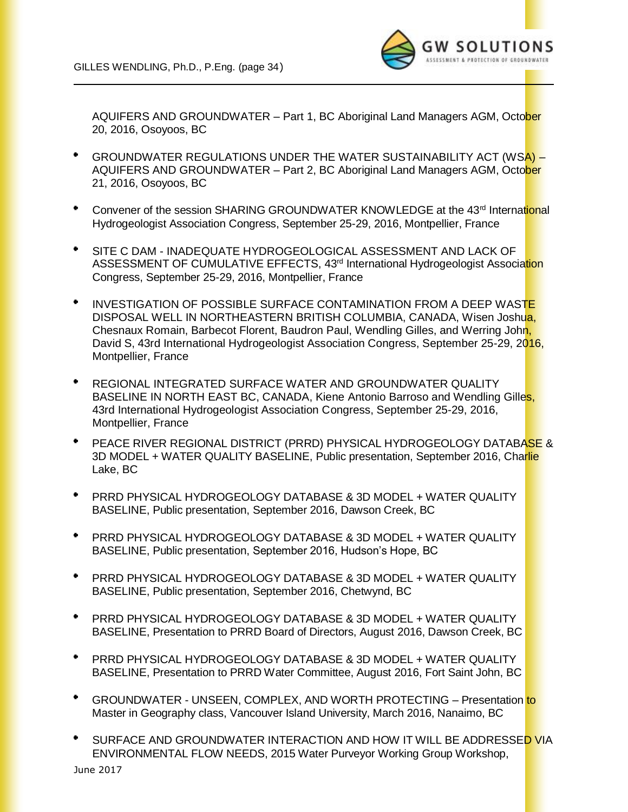

AQUIFERS AND GROUNDWATER – Part 1, BC Aboriginal Land Managers AGM, Octo<mark>ber</mark> 20, 2016, Osoyoos, BC

- GROUNDWATER REGULATIONS UNDER THE WATER SUSTAINABILITY ACT (WSA) AQUIFERS AND GROUNDWATER – Part 2, BC Aboriginal Land Managers AGM, October 21, 2016, Osoyoos, BC
- Convener of the session SHARING GROUNDWATER KNOWLEDGE at the 43<sup>rd</sup> International Hydrogeologist Association Congress, September 25-29, 2016, Montpellier, France
- SITE C DAM INADEQUATE HYDROGEOLOGICAL ASSESSMENT AND LACK OF ASSESSMENT OF CUMULATIVE EFFECTS, 43<sup>rd</sup> International Hydrogeologist Association Congress, September 25-29, 2016, Montpellier, France
- $\bullet$ INVESTIGATION OF POSSIBLE SURFACE CONTAMINATION FROM A DEEP WASTE DISPOSAL WELL IN NORTHEASTERN BRITISH COLUMBIA, CANADA, Wisen Joshua, Chesnaux Romain, Barbecot Florent, Baudron Paul, Wendling Gilles, and Werring John, David S, 43rd International Hydrogeologist Association Congress, September 25-29, 2016, Montpellier, France
- REGIONAL INTEGRATED SURFACE WATER AND GROUNDWATER QUALITY BASELINE IN NORTH EAST BC, CANADA, Kiene Antonio Barroso and Wendling Gilles, 43rd International Hydrogeologist Association Congress, September 25-29, 2016, Montpellier, France
- PEACE RIVER REGIONAL DISTRICT (PRRD) PHYSICAL HYDROGEOLOGY DATABASE & 3D MODEL + WATER QUALITY BASELINE, Public presentation, September 2016, Charlie Lake, BC
- $\bullet$ PRRD PHYSICAL HYDROGEOLOGY DATABASE & 3D MODEL + WATER QUALITY BASELINE, Public presentation, September 2016, Dawson Creek, BC
- PRRD PHYSICAL HYDROGEOLOGY DATABASE & 3D MODEL + WATER QUALITY BASELINE, Public presentation, September 2016, Hudson's Hope, BC
- $\bullet$ PRRD PHYSICAL HYDROGEOLOGY DATABASE & 3D MODEL + WATER QUALITY BASELINE, Public presentation, September 2016, Chetwynd, BC
- ٠ PRRD PHYSICAL HYDROGEOLOGY DATABASE & 3D MODEL + WATER QUALITY BASELINE, Presentation to PRRD Board of Directors, August 2016, Dawson Creek, BC
- $\bullet$ PRRD PHYSICAL HYDROGEOLOGY DATABASE & 3D MODEL + WATER QUALITY BASELINE, Presentation to PRRD Water Committee, August 2016, Fort Saint John, BC
- $\bullet$ GROUNDWATER - UNSEEN, COMPLEX, AND WORTH PROTECTING – Presentation to Master in Geography class, Vancouver Island University, March 2016, Nanaimo, BC
- SURFACE AND GROUNDWATER INTERACTION AND HOW IT WILL BE ADDRESSED VIA ENVIRONMENTAL FLOW NEEDS, 2015 Water Purveyor Working Group Workshop,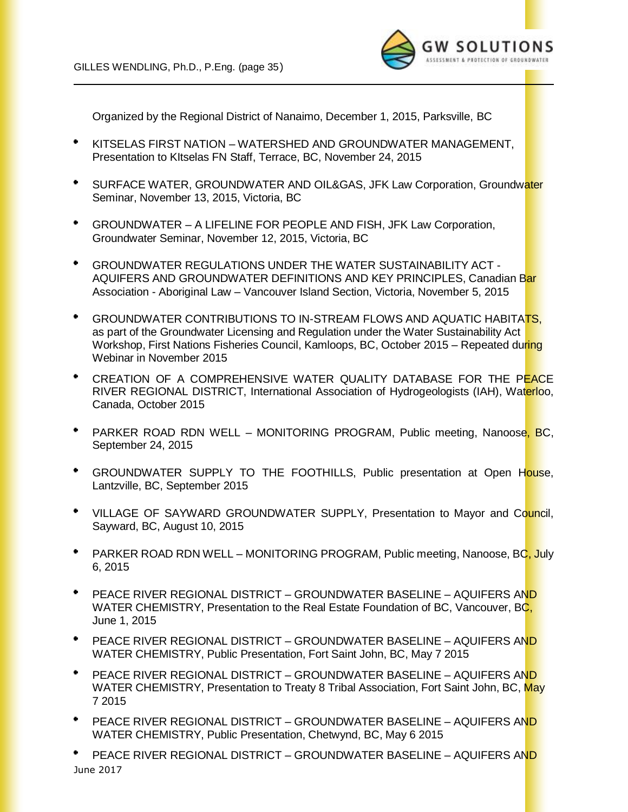

Organized by the Regional District of Nanaimo, December 1, 2015, Parksville, BC

- $\bullet$ KITSELAS FIRST NATION – WATERSHED AND GROUNDWATER MANAGEMENT, Presentation to KItselas FN Staff, Terrace, BC, November 24, 2015
- $\blacksquare$ SURFACE WATER, GROUNDWATER AND OIL&GAS, JFK Law Corporation, Groundwater Seminar, November 13, 2015, Victoria, BC
- $\bullet$ GROUNDWATER – A LIFELINE FOR PEOPLE AND FISH, JFK Law Corporation, Groundwater Seminar, November 12, 2015, Victoria, BC
- $\bullet$ GROUNDWATER REGULATIONS UNDER THE WATER SUSTAINABILITY ACT - AQUIFERS AND GROUNDWATER DEFINITIONS AND KEY PRINCIPLES, Canadian Bar Association - Aboriginal Law – Vancouver Island Section, Victoria, November 5, 2015
- GROUNDWATER CONTRIBUTIONS TO IN-STREAM FLOWS AND AQUATIC HABITATS, as part of the Groundwater Licensing and Regulation under the Water Sustainability Act Workshop, First Nations Fisheries Council, Kamloops, BC, October 2015 – Repeated during Webinar in November 2015
- CREATION OF A COMPREHENSIVE WATER QUALITY DATABASE FOR THE PEACE RIVER REGIONAL DISTRICT, International Association of Hydrogeologists (IAH), Waterloo, Canada, October 2015
- \* PARKER ROAD RDN WELL MONITORING PROGRAM, Public meeting, Nanoose, BC, September 24, 2015
- $\bullet$ GROUNDWATER SUPPLY TO THE FOOTHILLS, Public presentation at Open House, Lantzville, BC, September 2015
- $\bullet$  . VILLAGE OF SAYWARD GROUNDWATER SUPPLY, Presentation to Mayor and Council, Sayward, BC, August 10, 2015
- **PARKER ROAD RDN WELL MONITORING PROGRAM, Public meeting, Nanoose, BC, July** 6, 2015
- PEACE RIVER REGIONAL DISTRICT GROUNDWATER BASELINE AQUIFERS AND WATER CHEMISTRY, Presentation to the Real Estate Foundation of BC, Vancouver, BC, June 1, 2015
- PEACE RIVER REGIONAL DISTRICT GROUNDWATER BASELINE AQUIFERS AND WATER CHEMISTRY, Public Presentation, Fort Saint John, BC, May 7 2015
- PEACE RIVER REGIONAL DISTRICT GROUNDWATER BASELINE AQUIFERS AND WATER CHEMISTRY, Presentation to Treaty 8 Tribal Association, Fort Saint John, BC, May 7 2015
- $\bullet$ PEACE RIVER REGIONAL DISTRICT – GROUNDWATER BASELINE – AQUIFERS AND WATER CHEMISTRY, Public Presentation, Chetwynd, BC, May 6 2015
- June 2017 PEACE RIVER REGIONAL DISTRICT – GROUNDWATER BASELINE – AQUIFERS AND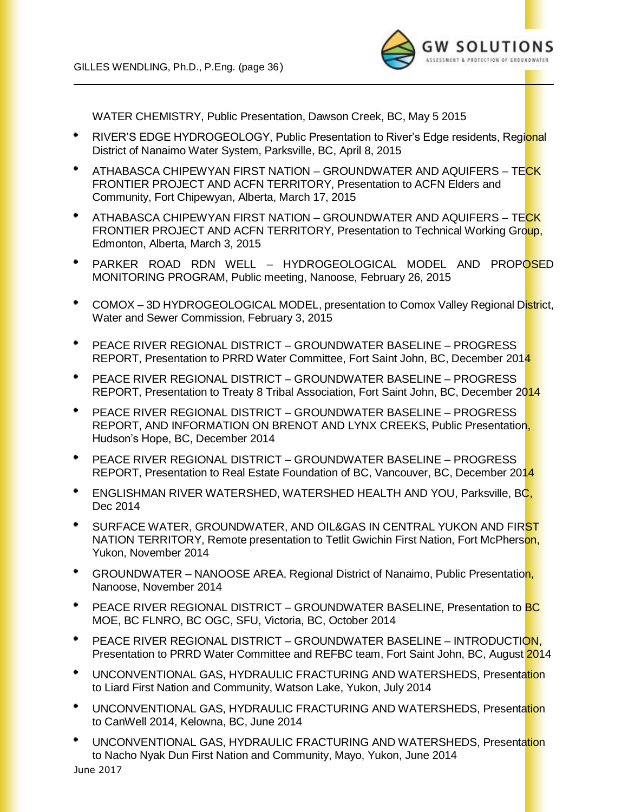

WATER CHEMISTRY, Public Presentation, Dawson Creek, BC, May 5 2015

- RIVER'S EDGE HYDROGEOLOGY, Public Presentation to River's Edge residents, Regional District of Nanaimo Water System, Parksville, BC, April 8, 2015
- $\bullet$ ATHABASCA CHIPEWYAN FIRST NATION – GROUNDWATER AND AQUIFERS – TECK FRONTIER PROJECT AND ACFN TERRITORY, Presentation to ACFN Elders and Community, Fort Chipewyan, Alberta, March 17, 2015
- ATHABASCA CHIPEWYAN FIRST NATION GROUNDWATER AND AQUIFERS TECK FRONTIER PROJECT AND ACFN TERRITORY, Presentation to Technical Working Group, Edmonton, Alberta, March 3, 2015
- PARKER ROAD RDN WELL HYDROGEOLOGICAL MODEL AND PROPOSED MONITORING PROGRAM, Public meeting, Nanoose, February 26, 2015
- ٠ COMOX – 3D HYDROGEOLOGICAL MODEL, presentation to Comox Valley Regional District, Water and Sewer Commission, February 3, 2015
- ٠ PEACE RIVER REGIONAL DISTRICT – GROUNDWATER BASELINE – PROGRESS REPORT, Presentation to PRRD Water Committee, Fort Saint John, BC, December 2014
- $\bullet$ PEACE RIVER REGIONAL DISTRICT – GROUNDWATER BASELINE – PROGRESS REPORT, Presentation to Treaty 8 Tribal Association, Fort Saint John, BC, December 2014
- $\bullet$ PEACE RIVER REGIONAL DISTRICT – GROUNDWATER BASELINE – PROGRESS REPORT, AND INFORMATION ON BRENOT AND LYNX CREEKS, Public Presentation, Hudson's Hope, BC, December 2014
- PEACE RIVER REGIONAL DISTRICT GROUNDWATER BASELINE PROGRESS REPORT, Presentation to Real Estate Foundation of BC, Vancouver, BC, December 2014
- $\bullet$ ENGLISHMAN RIVER WATERSHED, WATERSHED HEALTH AND YOU, Parksville, BC, Dec 2014
- SURFACE WATER, GROUNDWATER, AND OIL&GAS IN CENTRAL YUKON AND FIRST NATION TERRITORY, Remote presentation to Tetlit Gwichin First Nation, Fort McPherson, Yukon, November 2014
- $\bullet$ GROUNDWATER – NANOOSE AREA, Regional District of Nanaimo, Public Presentation, Nanoose, November 2014
- ٠ PEACE RIVER REGIONAL DISTRICT – GROUNDWATER BASELINE, Presentation to **BC** MOE, BC FLNRO, BC OGC, SFU, Victoria, BC, October 2014
- PEACE RIVER REGIONAL DISTRICT GROUNDWATER BASELINE INTRODUCTION, Presentation to PRRD Water Committee and REFBC team, Fort Saint John, BC, August 2014
- UNCONVENTIONAL GAS, HYDRAULIC FRACTURING AND WATERSHEDS, Presentation to Liard First Nation and Community, Watson Lake, Yukon, July 2014
- UNCONVENTIONAL GAS, HYDRAULIC FRACTURING AND WATERSHEDS, Presentation to CanWell 2014, Kelowna, BC, June 2014
- UNCONVENTIONAL GAS, HYDRAULIC FRACTURING AND WATERSHEDS, Presentation to Nacho Nyak Dun First Nation and Community, Mayo, Yukon, June 2014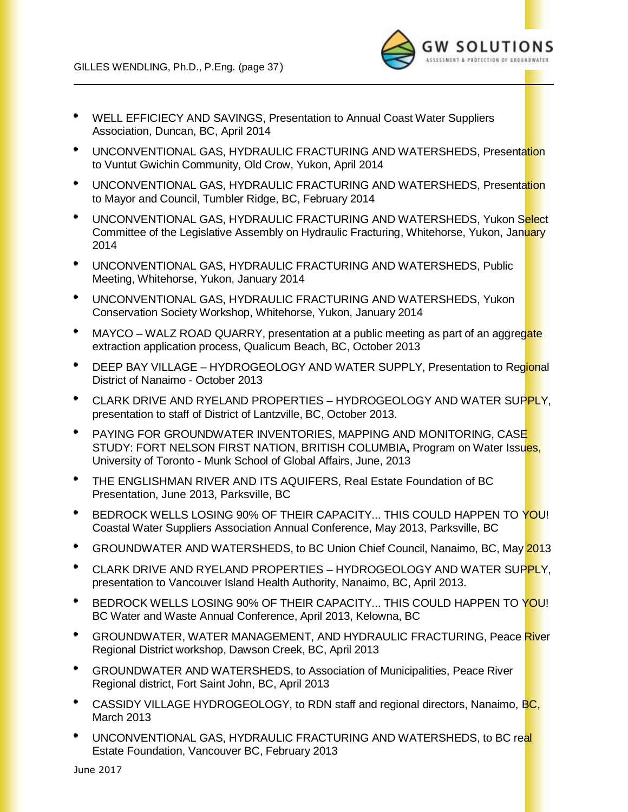

- WELL EFFICIECY AND SAVINGS, Presentation to Annual Coast Water Suppliers Association, Duncan, BC, April 2014
- \* UNCONVENTIONAL GAS, HYDRAULIC FRACTURING AND WATERSHEDS, Presentation to Vuntut Gwichin Community, Old Crow, Yukon, April 2014
- $\blacksquare$ UNCONVENTIONAL GAS, HYDRAULIC FRACTURING AND WATERSHEDS, Presentation to Mayor and Council, Tumbler Ridge, BC, February 2014
- $\bullet$  . UNCONVENTIONAL GAS, HYDRAULIC FRACTURING AND WATERSHEDS, Yukon Select Committee of the Legislative Assembly on Hydraulic Fracturing, Whitehorse, Yukon, January 2014
- UNCONVENTIONAL GAS, HYDRAULIC FRACTURING AND WATERSHEDS, Public Meeting, Whitehorse, Yukon, January 2014
- UNCONVENTIONAL GAS, HYDRAULIC FRACTURING AND WATERSHEDS, Yukon Conservation Society Workshop, Whitehorse, Yukon, January 2014
- $\bullet$ MAYCO – WALZ ROAD QUARRY, presentation at a public meeting as part of an aggregate extraction application process, Qualicum Beach, BC, October 2013
- $\bullet$ DEEP BAY VILLAGE – HYDROGEOLOGY AND WATER SUPPLY, Presentation to Regional District of Nanaimo - October 2013
- CLARK DRIVE AND RYELAND PROPERTIES HYDROGEOLOGY AND WATER SUPPLY, presentation to staff of District of Lantzville, BC, October 2013.
- PAYING FOR GROUNDWATER INVENTORIES, MAPPING AND MONITORING, CASE STUDY: FORT NELSON FIRST NATION, BRITISH COLUMBIA**,** Program on Water Issues, University of Toronto - Munk School of Global Affairs, June, 2013
- THE ENGLISHMAN RIVER AND ITS AQUIFERS, Real Estate Foundation of BC Presentation, June 2013, Parksville, BC
- BEDROCK WELLS LOSING 90% OF THEIR CAPACITY... THIS COULD HAPPEN TO YOU! Coastal Water Suppliers Association Annual Conference, May 2013, Parksville, BC
- GROUNDWATER AND WATERSHEDS, to BC Union Chief Council, Nanaimo, BC, May 2013
- CLARK DRIVE AND RYELAND PROPERTIES HYDROGEOLOGY AND WATER SUPPLY, presentation to Vancouver Island Health Authority, Nanaimo, BC, April 2013.
- BEDROCK WELLS LOSING 90% OF THEIR CAPACITY... THIS COULD HAPPEN TO YOU! BC Water and Waste Annual Conference, April 2013, Kelowna, BC
- $\bullet$ GROUNDWATER, WATER MANAGEMENT, AND HYDRAULIC FRACTURING, Peace River Regional District workshop, Dawson Creek, BC, April 2013
- $\bullet$ GROUNDWATER AND WATERSHEDS, to Association of Municipalities, Peace River Regional district, Fort Saint John, BC, April 2013
- $\bullet$ CASSIDY VILLAGE HYDROGEOLOGY, to RDN staff and regional directors, Nanaimo, BC, March 2013
- UNCONVENTIONAL GAS, HYDRAULIC FRACTURING AND WATERSHEDS, to BC real Estate Foundation, Vancouver BC, February 2013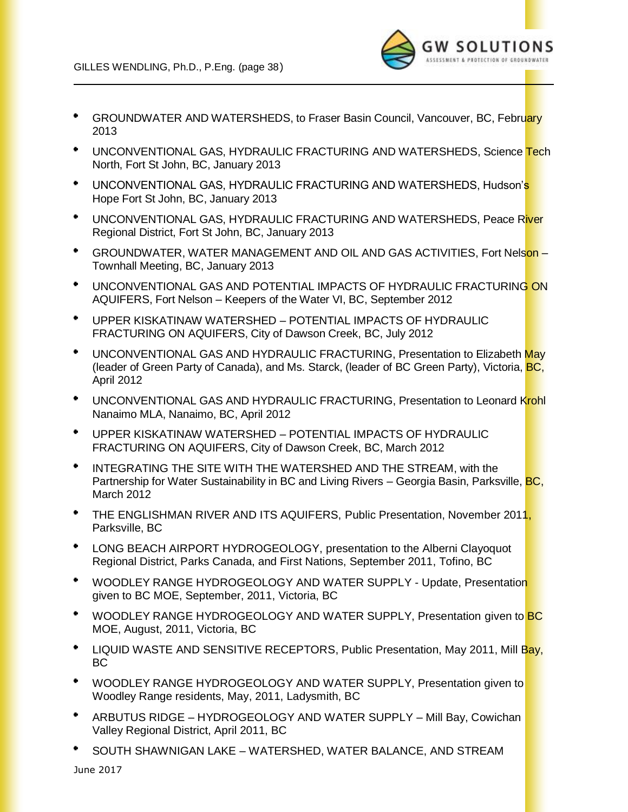

- GROUNDWATER AND WATERSHEDS, to Fraser Basin Council, Vancouver, BC, February 2013
- \* UNCONVENTIONAL GAS, HYDRAULIC FRACTURING AND WATERSHEDS, Science <mark>Tec</mark>h North, Fort St John, BC, January 2013
- UNCONVENTIONAL GAS, HYDRAULIC FRACTURING AND WATERSHEDS, Hudson's Hope Fort St John, BC, January 2013
- \* UNCONVENTIONAL GAS, HYDRAULIC FRACTURING AND WATERSHEDS, Peace River Regional District, Fort St John, BC, January 2013
- $\bullet$ GROUNDWATER, WATER MANAGEMENT AND OIL AND GAS ACTIVITIES, Fort Nelson – Townhall Meeting, BC, January 2013
- UNCONVENTIONAL GAS AND POTENTIAL IMPACTS OF HYDRAULIC FRACTURING ON AQUIFERS, Fort Nelson – Keepers of the Water VI, BC, September 2012
- UPPER KISKATINAW WATERSHED POTENTIAL IMPACTS OF HYDRAULIC FRACTURING ON AQUIFERS, City of Dawson Creek, BC, July 2012
- UNCONVENTIONAL GAS AND HYDRAULIC FRACTURING, Presentation to Elizabeth May (leader of Green Party of Canada), and Ms. Starck, (leader of BC Green Party), Victoria, **BC**, April 2012
- $\bullet$ UNCONVENTIONAL GAS AND HYDRAULIC FRACTURING, Presentation to Leonard Krohl Nanaimo MLA, Nanaimo, BC, April 2012
- UPPER KISKATINAW WATERSHED POTENTIAL IMPACTS OF HYDRAULIC FRACTURING ON AQUIFERS, City of Dawson Creek, BC, March 2012
- $\bullet$ INTEGRATING THE SITE WITH THE WATERSHED AND THE STREAM, with the Partnership for Water Sustainability in BC and Living Rivers – Georgia Basin, Parksville, **BC,** March 2012
- $\bullet$ THE ENGLISHMAN RIVER AND ITS AQUIFERS, Public Presentation, November 2011, Parksville, BC
- LONG BEACH AIRPORT HYDROGEOLOGY, presentation to the Alberni Clayoquot Regional District, Parks Canada, and First Nations, September 2011, Tofino, BC
- $\bullet$ WOODLEY RANGE HYDROGEOLOGY AND WATER SUPPLY - Update, Presentation given to BC MOE, September, 2011, Victoria, BC
- WOODLEY RANGE HYDROGEOLOGY AND WATER SUPPLY, Presentation given to BC  $\bullet$ MOE, August, 2011, Victoria, BC
- ٠ LIQUID WASTE AND SENSITIVE RECEPTORS, Public Presentation, May 2011, Mill Bay, BC
- WOODLEY RANGE HYDROGEOLOGY AND WATER SUPPLY, Presentation given to Woodley Range residents, May, 2011, Ladysmith, BC
- $\bullet$ ARBUTUS RIDGE – HYDROGEOLOGY AND WATER SUPPLY – Mill Bay, Cowichan Valley Regional District, April 2011, BC
- SOUTH SHAWNIGAN LAKE WATERSHED, WATER BALANCE, AND STREAM

June 2017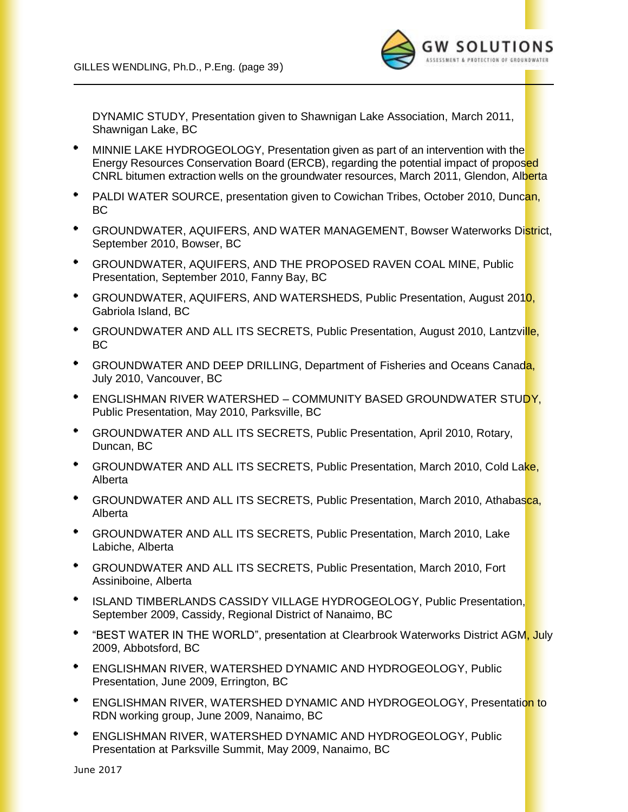

DYNAMIC STUDY, Presentation given to Shawnigan Lake Association, March 2011, Shawnigan Lake, BC

- $\bullet$ MINNIE LAKE HYDROGEOLOGY, Presentation given as part of an intervention with the Energy Resources Conservation Board (ERCB), regarding the potential impact of proposed CNRL bitumen extraction wells on the groundwater resources, March 2011, Glendon, Alberta
- PALDI WATER SOURCE, presentation given to Cowichan Tribes, October 2010, Duncan, BC
- GROUNDWATER, AQUIFERS, AND WATER MANAGEMENT, Bowser Waterworks District, September 2010, Bowser, BC
- GROUNDWATER, AQUIFERS, AND THE PROPOSED RAVEN COAL MINE, Public Presentation, September 2010, Fanny Bay, BC
- $\bullet$  . GROUNDWATER, AQUIFERS, AND WATERSHEDS, Public Presentation, August 2010, Gabriola Island, BC
- GROUNDWATER AND ALL ITS SECRETS, Public Presentation, August 2010, Lantzville,  $\blacksquare$ BC
- $\bullet$  . GROUNDWATER AND DEEP DRILLING, Department of Fisheries and Oceans Canada, July 2010, Vancouver, BC
- ENGLISHMAN RIVER WATERSHED COMMUNITY BASED GROUNDWATER STUDY, Public Presentation, May 2010, Parksville, BC
- $\bullet$ GROUNDWATER AND ALL ITS SECRETS, Public Presentation, April 2010, Rotary, Duncan, BC
- ٠ GROUNDWATER AND ALL ITS SECRETS, Public Presentation, March 2010, Cold Lake, Alberta
- GROUNDWATER AND ALL ITS SECRETS, Public Presentation, March 2010, Athabasca, Alberta
- $\bullet$  . GROUNDWATER AND ALL ITS SECRETS, Public Presentation, March 2010, Lake Labiche, Alberta
- GROUNDWATER AND ALL ITS SECRETS, Public Presentation, March 2010, Fort Assiniboine, Alberta
- ISLAND TIMBERLANDS CASSIDY VILLAGE HYDROGEOLOGY, Public Presentation, September 2009, Cassidy, Regional District of Nanaimo, BC
- \* "BEST WATER IN THE WORLD", presentation at Clearbrook Waterworks District AGM, July 2009, Abbotsford, BC
- $\bullet$  . ENGLISHMAN RIVER, WATERSHED DYNAMIC AND HYDROGEOLOGY, Public Presentation, June 2009, Errington, BC
- ٠ ENGLISHMAN RIVER, WATERSHED DYNAMIC AND HYDROGEOLOGY, Presentation to RDN working group, June 2009, Nanaimo, BC
- ENGLISHMAN RIVER, WATERSHED DYNAMIC AND HYDROGEOLOGY, Public Presentation at Parksville Summit, May 2009, Nanaimo, BC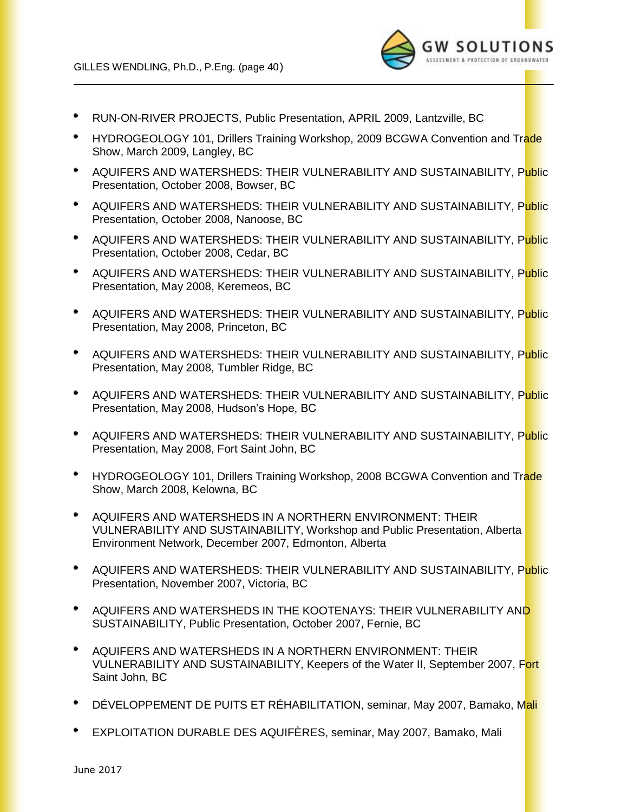

- RUN-ON-RIVER PROJECTS, Public Presentation, APRIL 2009, Lantzville, BC
- HYDROGEOLOGY 101, Drillers Training Workshop, 2009 BCGWA Convention and Trade Show, March 2009, Langley, BC
- AQUIFERS AND WATERSHEDS: THEIR VULNERABILITY AND SUSTAINABILITY, Public Presentation, October 2008, Bowser, BC
- AQUIFERS AND WATERSHEDS: THEIR VULNERABILITY AND SUSTAINABILITY, Public ٠ Presentation, October 2008, Nanoose, BC
- AQUIFERS AND WATERSHEDS: THEIR VULNERABILITY AND SUSTAINABILITY, Public Presentation, October 2008, Cedar, BC
- $\bullet$ AQUIFERS AND WATERSHEDS: THEIR VULNERABILITY AND SUSTAINABILITY, Public Presentation, May 2008, Keremeos, BC
- $\bullet$ AQUIFERS AND WATERSHEDS: THEIR VULNERABILITY AND SUSTAINABILITY, Public Presentation, May 2008, Princeton, BC
- AQUIFERS AND WATERSHEDS: THEIR VULNERABILITY AND SUSTAINABILITY, P<mark>ubli</mark>c  $\bullet$ Presentation, May 2008, Tumbler Ridge, BC
- AQUIFERS AND WATERSHEDS: THEIR VULNERABILITY AND SUSTAINABILITY, Public Presentation, May 2008, Hudson's Hope, BC
- $\bullet$ AQUIFERS AND WATERSHEDS: THEIR VULNERABILITY AND SUSTAINABILITY, Public Presentation, May 2008, Fort Saint John, BC
- $\bullet$ HYDROGEOLOGY 101, Drillers Training Workshop, 2008 BCGWA Convention and Trade Show, March 2008, Kelowna, BC
- $\bullet$ AQUIFERS AND WATERSHEDS IN A NORTHERN ENVIRONMENT: THEIR VULNERABILITY AND SUSTAINABILITY, Workshop and Public Presentation, Alberta Environment Network, December 2007, Edmonton, Alberta
- AQUIFERS AND WATERSHEDS: THEIR VULNERABILITY AND SUSTAINABILITY, Public Presentation, November 2007, Victoria, BC
- AQUIFERS AND WATERSHEDS IN THE KOOTENAYS: THEIR VULNERABILITY AND SUSTAINABILITY, Public Presentation, October 2007, Fernie, BC
- $\bullet$ AQUIFERS AND WATERSHEDS IN A NORTHERN ENVIRONMENT: THEIR VULNERABILITY AND SUSTAINABILITY, Keepers of the Water II, September 2007, Fort Saint John, BC
- DÉVELOPPEMENT DE PUITS ET RÉHABILITATION, seminar, May 2007, Bamako, Mali
- EXPLOITATION DURABLE DES AQUIFÈRES, seminar, May 2007, Bamako, Mali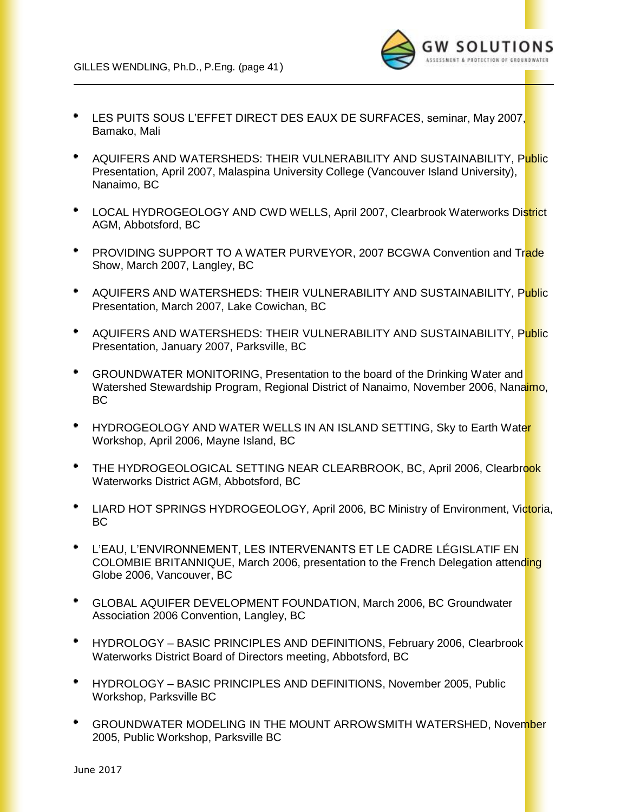

- LES PUITS SOUS L'EFFET DIRECT DES EAUX DE SURFACES, seminar, May 2007, Bamako, Mali
- AQUIFERS AND WATERSHEDS: THEIR VULNERABILITY AND SUSTAINABILITY, Public Presentation, April 2007, Malaspina University College (Vancouver Island University), Nanaimo, BC
- $\bullet$ LOCAL HYDROGEOLOGY AND CWD WELLS, April 2007, Clearbrook Waterworks District AGM, Abbotsford, BC
- PROVIDING SUPPORT TO A WATER PURVEYOR, 2007 BCGWA Convention and Trade Show, March 2007, Langley, BC
- AQUIFERS AND WATERSHEDS: THEIR VULNERABILITY AND SUSTAINABILITY, Public Presentation, March 2007, Lake Cowichan, BC
- AQUIFERS AND WATERSHEDS: THEIR VULNERABILITY AND SUSTAINABILITY, Public Presentation, January 2007, Parksville, BC
- GROUNDWATER MONITORING, Presentation to the board of the Drinking Water and Watershed Stewardship Program, Regional District of Nanaimo, November 2006, Nanaimo, BC
- $\bullet$ HYDROGEOLOGY AND WATER WELLS IN AN ISLAND SETTING, Sky to Earth Water Workshop, April 2006, Mayne Island, BC
- $\bullet$  . THE HYDROGEOLOGICAL SETTING NEAR CLEARBROOK, BC, April 2006, Clearbrook Waterworks District AGM, Abbotsford, BC
- <sup>+</sup> LIARD HOT SPRINGS HYDROGEOLOGY, April 2006, BC Ministry of Environment, Victoria, BC
- L'EAU, L'ENVIRONNEMENT, LES INTERVENANTS ET LE CADRE LÉGISLATIF EN COLOMBIE BRITANNIQUE, March 2006, presentation to the French Delegation attending Globe 2006, Vancouver, BC
- $\bullet$ GLOBAL AQUIFER DEVELOPMENT FOUNDATION, March 2006, BC Groundwater Association 2006 Convention, Langley, BC
- $\bullet$ HYDROLOGY – BASIC PRINCIPLES AND DEFINITIONS, February 2006, Clearbrook Waterworks District Board of Directors meeting, Abbotsford, BC
- $\bullet$  . HYDROLOGY – BASIC PRINCIPLES AND DEFINITIONS, November 2005, Public Workshop, Parksville BC
- $\bullet$ GROUNDWATER MODELING IN THE MOUNT ARROWSMITH WATERSHED, November 2005, Public Workshop, Parksville BC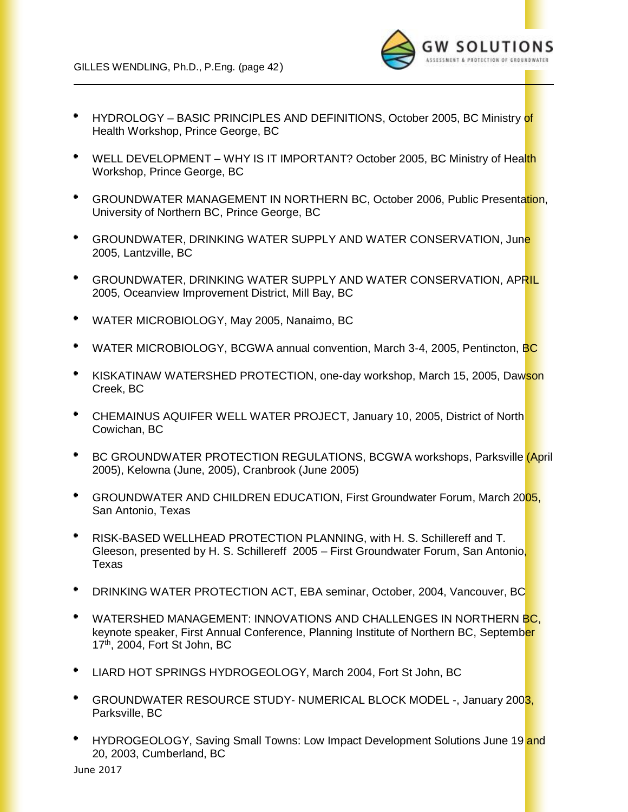

- HYDROLOGY BASIC PRINCIPLES AND DEFINITIONS, October 2005, BC Ministry of Health Workshop, Prince George, BC
- $\bullet$ WELL DEVELOPMENT – WHY IS IT IMPORTANT? October 2005, BC Ministry of Health Workshop, Prince George, BC
- $\bullet$ GROUNDWATER MANAGEMENT IN NORTHERN BC, October 2006, Public Presentation, University of Northern BC, Prince George, BC
- $\bullet$ GROUNDWATER, DRINKING WATER SUPPLY AND WATER CONSERVATION, June 2005, Lantzville, BC
- $\bullet$ GROUNDWATER, DRINKING WATER SUPPLY AND WATER CONSERVATION, APRIL 2005, Oceanview Improvement District, Mill Bay, BC
- $\bullet$ WATER MICROBIOLOGY, May 2005, Nanaimo, BC
- WATER MICROBIOLOGY, BCGWA annual convention, March 3-4, 2005, Pentincton, BC
- KISKATINAW WATERSHED PROTECTION, one-day workshop, March 15, 2005, Dawson Creek, BC
- CHEMAINUS AQUIFER WELL WATER PROJECT, January 10, 2005, District of North Cowichan, BC
- $\bullet$ BC GROUNDWATER PROTECTION REGULATIONS, BCGWA workshops, Parksville *(April* 2005), Kelowna (June, 2005), Cranbrook (June 2005)
- GROUNDWATER AND CHILDREN EDUCATION, First Groundwater Forum, March 2005, San Antonio, Texas
- $\bullet$ RISK-BASED WELLHEAD PROTECTION PLANNING, with H. S. Schillereff and T. Gleeson, presented by H. S. Schillereff 2005 – First Groundwater Forum, San Antonio, Texas
- DRINKING WATER PROTECTION ACT, EBA seminar, October, 2004, Vancouver, BC
- WATERSHED MANAGEMENT: INNOVATIONS AND CHALLENGES IN NORTHERN BC. keynote speaker, First Annual Conference, Planning Institute of Northern BC, September 17th, 2004, Fort St John, BC
- LIARD HOT SPRINGS HYDROGEOLOGY, March 2004, Fort St John, BC
- GROUNDWATER RESOURCE STUDY- NUMERICAL BLOCK MODEL -, January 2003, Parksville, BC
- HYDROGEOLOGY, Saving Small Towns: Low Impact Development Solutions June 19 and 20, 2003, Cumberland, BC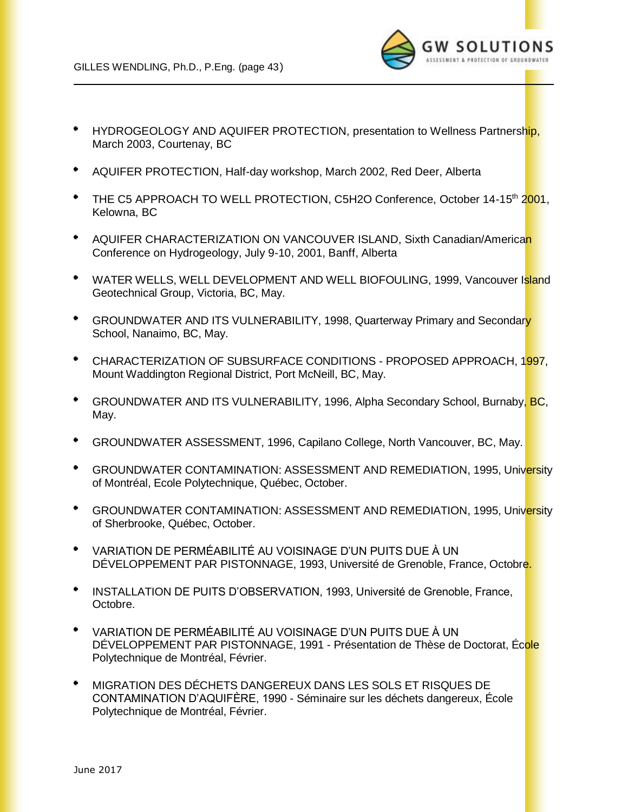

- $\bullet$ HYDROGEOLOGY AND AQUIFER PROTECTION, presentation to Wellness Partnership, March 2003, Courtenay, BC
- ٠ AQUIFER PROTECTION, Half-day workshop, March 2002, Red Deer, Alberta
- THE C5 APPROACH TO WELL PROTECTION, C5H2O Conference, October 14-15<sup>th</sup> 2001, Kelowna, BC
- ٠ AQUIFER CHARACTERIZATION ON VANCOUVER ISLAND, Sixth Canadian/American Conference on Hydrogeology, July 9-10, 2001, Banff, Alberta
- $\bullet$ WATER WELLS, WELL DEVELOPMENT AND WELL BIOFOULING, 1999, Vancouver Island Geotechnical Group, Victoria, BC, May.
- $\bullet$ GROUNDWATER AND ITS VULNERABILITY, 1998, Quarterway Primary and Secondary School, Nanaimo, BC, May.
- $\bullet$ CHARACTERIZATION OF SUBSURFACE CONDITIONS - PROPOSED APPROACH, 1997, Mount Waddington Regional District, Port McNeill, BC, May.
- $\bullet$  . GROUNDWATER AND ITS VULNERABILITY, 1996, Alpha Secondary School, Burnaby, BC, May.
- GROUNDWATER ASSESSMENT, 1996, Capilano College, North Vancouver, BC, May.
- $\bullet$ GROUNDWATER CONTAMINATION: ASSESSMENT AND REMEDIATION, 1995, University of Montréal, Ecole Polytechnique, Québec, October.
- $\bullet$ GROUNDWATER CONTAMINATION: ASSESSMENT AND REMEDIATION, 1995, University of Sherbrooke, Québec, October.
- ٠ VARIATION DE PERMÉABILITÉ AU VOISINAGE D'UN PUITS DUE À UN DÉVELOPPEMENT PAR PISTONNAGE, 1993, Université de Grenoble, France, Octobre.
- $\bullet$ INSTALLATION DE PUITS D'OBSERVATION, 1993, Université de Grenoble, France, Octobre.
- VARIATION DE PERMÉABILITÉ AU VOISINAGE D'UN PUITS DUE À UN DÉVELOPPEMENT PAR PISTONNAGE, 1991 - Présentation de Thèse de Doctorat, École Polytechnique de Montréal, Février.
- MIGRATION DES DÉCHETS DANGEREUX DANS LES SOLS ET RISQUES DE CONTAMINATION D'AQUIFÈRE, 1990 - Séminaire sur les déchets dangereux, École Polytechnique de Montréal, Février.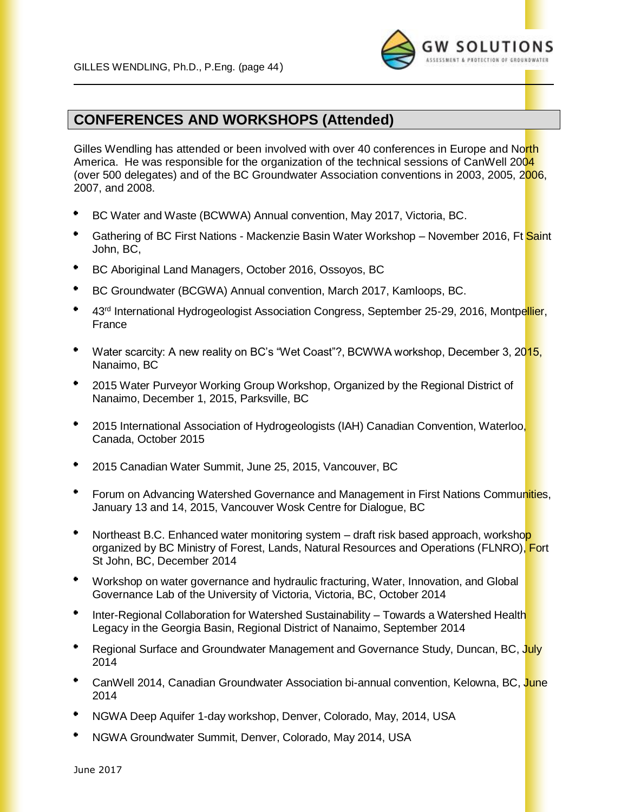

## **CONFERENCES AND WORKSHOPS (Attended)**

Gilles Wendling has attended or been involved with over 40 conferences in Europe and North America. He was responsible for the organization of the technical sessions of CanWell 2004 (over 500 delegates) and of the BC Groundwater Association conventions in 2003, 2005, 2006, 2007, and 2008.

- BC Water and Waste (BCWWA) Annual convention, May 2017, Victoria, BC.
- Gathering of BC First Nations Mackenzie Basin Water Workshop November 2016, Ft Saint John, BC,
- BC Aboriginal Land Managers, October 2016, Ossoyos, BC
- BC Groundwater (BCGWA) Annual convention, March 2017, Kamloops, BC.
- 43<sup>rd</sup> International Hydrogeologist Association Congress, September 25-29, 2016, Montpellier, France
- Water scarcity: A new reality on BC's "Wet Coast"?, BCWWA workshop, December 3, 2015, Nanaimo, BC
- $\bullet$ 2015 Water Purveyor Working Group Workshop, Organized by the Regional District of Nanaimo, December 1, 2015, Parksville, BC
- ٠ 2015 International Association of Hydrogeologists (IAH) Canadian Convention, Waterloo, Canada, October 2015
- $\bullet$ 2015 Canadian Water Summit, June 25, 2015, Vancouver, BC
- Forum on Advancing Watershed Governance and Management in First Nations Communities, January 13 and 14, 2015, Vancouver Wosk Centre for Dialogue, BC
- Northeast B.C. Enhanced water monitoring system draft risk based approach, workshop organized by BC Ministry of Forest, Lands, Natural Resources and Operations (FLNRO), Fort St John, BC, December 2014
- $\bullet$  . Workshop on water governance and hydraulic fracturing, Water, Innovation, and Global Governance Lab of the University of Victoria, Victoria, BC, October 2014
- Inter-Regional Collaboration for Watershed Sustainability Towards a Watershed Health Legacy in the Georgia Basin, Regional District of Nanaimo, September 2014
- Regional Surface and Groundwater Management and Governance Study, Duncan, BC, July 2014
- CanWell 2014, Canadian Groundwater Association bi-annual convention, Kelowna, BC, June 2014
- NGWA Deep Aquifer 1-day workshop, Denver, Colorado, May, 2014, USA
- NGWA Groundwater Summit, Denver, Colorado, May 2014, USA

June 2017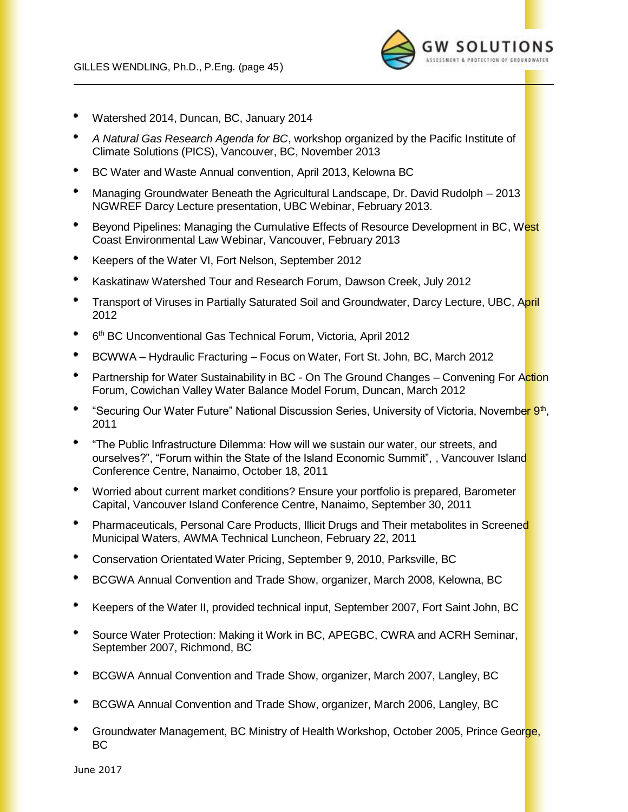

- Watershed 2014, Duncan, BC, January 2014
- *A Natural Gas Research Agenda for BC*, workshop organized by the Pacific Institute of Climate Solutions (PICS), Vancouver, BC, November 2013
- BC Water and Waste Annual convention, April 2013, Kelowna BC
- Managing Groundwater Beneath the Agricultural Landscape, Dr. David Rudolph 2013 NGWREF Darcy Lecture presentation, UBC Webinar, February 2013.
- Beyond Pipelines: Managing the Cumulative Effects of Resource Development in BC, West Coast Environmental Law Webinar, Vancouver, February 2013
- Keepers of the Water VI, Fort Nelson, September 2012
- Kaskatinaw Watershed Tour and Research Forum, Dawson Creek, July 2012
- Transport of Viruses in Partially Saturated Soil and Groundwater, Darcy Lecture, UBC, April 2012
- 6 th BC Unconventional Gas Technical Forum, Victoria, April 2012
- BCWWA Hydraulic Fracturing Focus on Water, Fort St. John, BC, March 2012
- Partnership for Water Sustainability in BC On The Ground Changes Convening For Action Forum, Cowichan Valley Water Balance Model Forum, Duncan, March 2012
- "Securing Our Water Future" National Discussion Series, University of Victoria, November 9<sup>th</sup>, 2011
- "The Public Infrastructure Dilemma: How will we sustain our water, our streets, and ourselves?", "Forum within the State of the Island Economic Summit", , Vancouver Island Conference Centre, Nanaimo, October 18, 2011
- Worried about current market conditions? Ensure your portfolio is prepared, Barometer Capital, Vancouver Island Conference Centre, Nanaimo, September 30, 2011
- Pharmaceuticals, Personal Care Products, Illicit Drugs and Their metabolites in Screened Municipal Waters, AWMA Technical Luncheon, February 22, 2011
- Conservation Orientated Water Pricing, September 9, 2010, Parksville, BC
- BCGWA Annual Convention and Trade Show, organizer, March 2008, Kelowna, BC
- Keepers of the Water II, provided technical input, September 2007, Fort Saint John, BC
- Source Water Protection: Making it Work in BC, APEGBC, CWRA and ACRH Seminar, September 2007, Richmond, BC
- ٠ BCGWA Annual Convention and Trade Show, organizer, March 2007, Langley, BC
- BCGWA Annual Convention and Trade Show, organizer, March 2006, Langley, BC
- Groundwater Management, BC Ministry of Health Workshop, October 2005, Prince George, BC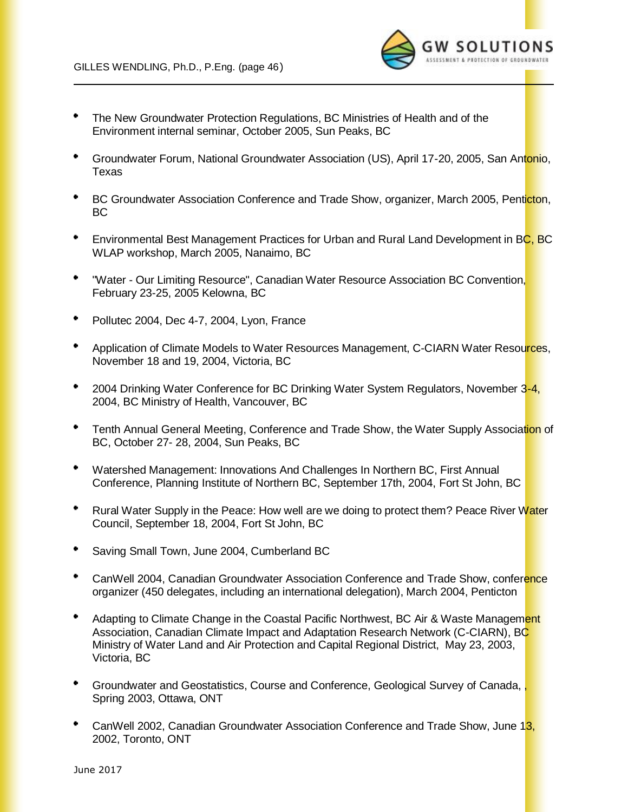

- The New Groundwater Protection Regulations, BC Ministries of Health and of the Environment internal seminar, October 2005, Sun Peaks, BC
- ٠ Groundwater Forum, National Groundwater Association (US), April 17-20, 2005, San Antonio, Texas
- $\bullet$ BC Groundwater Association Conference and Trade Show, organizer, March 2005, Penticton, BC
- $\bullet$ Environmental Best Management Practices for Urban and Rural Land Development in BC, BC WLAP workshop, March 2005, Nanaimo, BC
- $\bullet$  . "Water - Our Limiting Resource", Canadian Water Resource Association BC Convention, February 23-25, 2005 Kelowna, BC
- $\bullet$ Pollutec 2004, Dec 4-7, 2004, Lyon, France
- Application of Climate Models to Water Resources Management, C-CIARN Water Resources, November 18 and 19, 2004, Victoria, BC
- $\bullet$ 2004 Drinking Water Conference for BC Drinking Water System Regulators, November 3-4, 2004, BC Ministry of Health, Vancouver, BC
- $\bullet$ Tenth Annual General Meeting, Conference and Trade Show, the Water Supply Association of BC, October 27- 28, 2004, Sun Peaks, BC
- $\bullet$  . Watershed Management: Innovations And Challenges In Northern BC, First Annual Conference, Planning Institute of Northern BC, September 17th, 2004, Fort St John, BC
- $\bullet$  . Rural Water Supply in the Peace: How well are we doing to protect them? Peace River Water Council, September 18, 2004, Fort St John, BC
- ٠ Saving Small Town, June 2004, Cumberland BC
- CanWell 2004, Canadian Groundwater Association Conference and Trade Show, conference organizer (450 delegates, including an international delegation), March 2004, Penticton
- Adapting to Climate Change in the Coastal Pacific Northwest, BC Air & Waste Management Association, Canadian Climate Impact and Adaptation Research Network (C-CIARN), BC Ministry of Water Land and Air Protection and Capital Regional District, May 23, 2003, Victoria, BC
- $\bullet$ Groundwater and Geostatistics, Course and Conference, Geological Survey of Canada, , Spring 2003, Ottawa, ONT
- ٠ CanWell 2002, Canadian Groundwater Association Conference and Trade Show, June 13, 2002, Toronto, ONT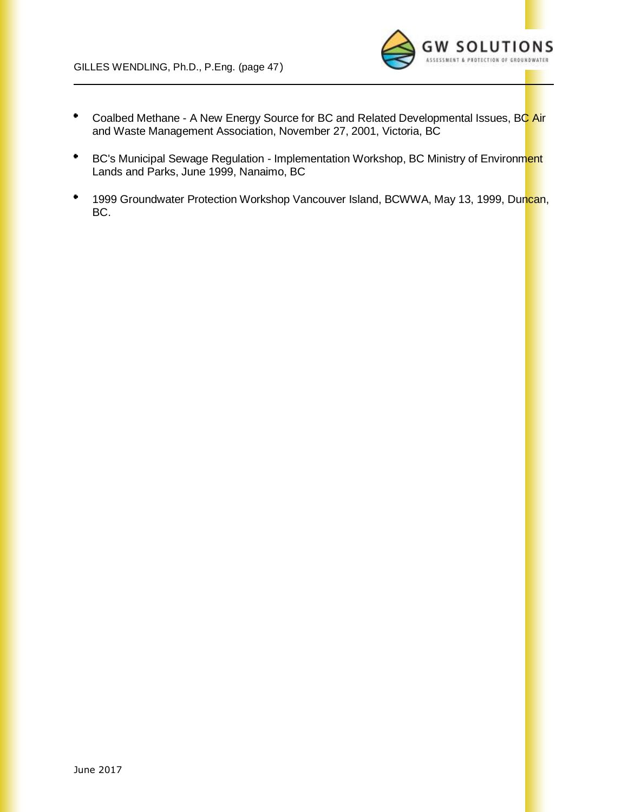

- Coalbed Methane A New Energy Source for BC and Related Developmental Issues, BC Air ٠ and Waste Management Association, November 27, 2001, Victoria, BC
- $\bullet$ BC's Municipal Sewage Regulation - Implementation Workshop, BC Ministry of Environment Lands and Parks, June 1999, Nanaimo, BC
- $\bullet$ 1999 Groundwater Protection Workshop Vancouver Island, BCWWA, May 13, 1999, Duncan, BC.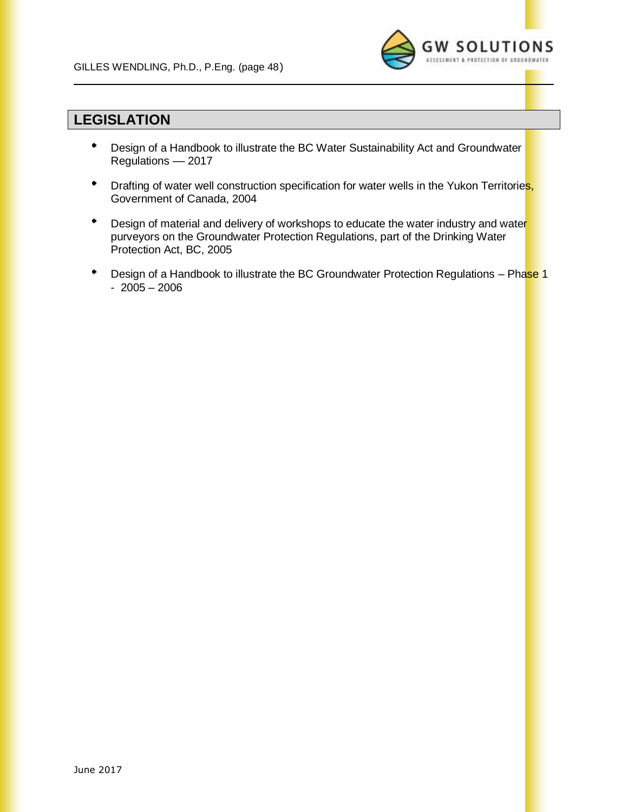

## **LEGISLATION**

- ٠ Design of a Handbook to illustrate the BC Water Sustainability Act and Groundwater Regulations –– 2017
- **Drafting of water well construction specification for water wells in the Yukon Territories,** Government of Canada, 2004
- Design of material and delivery of workshops to educate the water industry and water purveyors on the Groundwater Protection Regulations, part of the Drinking Water Protection Act, BC, 2005
- ٠ Design of a Handbook to illustrate the BC Groundwater Protection Regulations - Phase 1 - 2005 – 2006